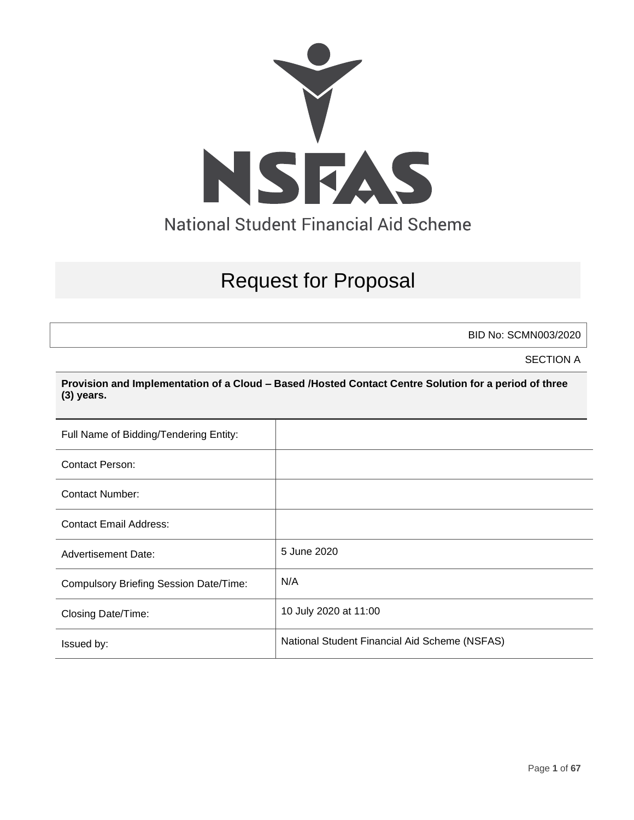

# Request for Proposal

BID No: SCMN003/2020

SECTION A

**Provision and Implementation of a Cloud – Based /Hosted Contact Centre Solution for a period of three (3) years.**

| Full Name of Bidding/Tendering Entity:        |                                               |
|-----------------------------------------------|-----------------------------------------------|
| <b>Contact Person:</b>                        |                                               |
| <b>Contact Number:</b>                        |                                               |
| <b>Contact Email Address:</b>                 |                                               |
| <b>Advertisement Date:</b>                    | 5 June 2020                                   |
| <b>Compulsory Briefing Session Date/Time:</b> | N/A                                           |
| Closing Date/Time:                            | 10 July 2020 at 11:00                         |
| Issued by:                                    | National Student Financial Aid Scheme (NSFAS) |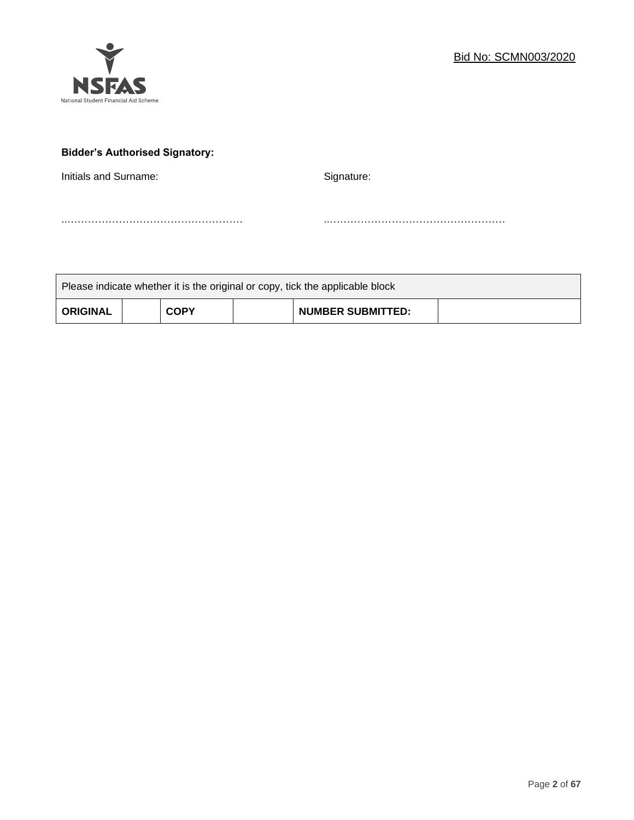

# **Bidder's Authorised Signatory:**

Initials and Surname: Signature: Signature:

..…………………………………………… ..……………………………………………

| Please indicate whether it is the original or copy, tick the applicable block |  |             |  |                          |  |  |
|-------------------------------------------------------------------------------|--|-------------|--|--------------------------|--|--|
| <b>ORIGINAL</b>                                                               |  | <b>COPY</b> |  | <b>NUMBER SUBMITTED:</b> |  |  |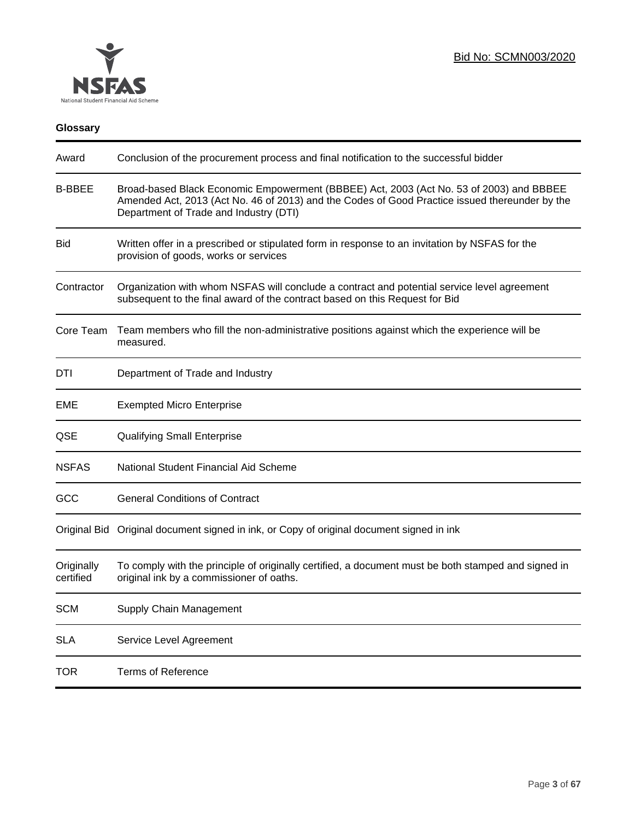

# **Glossary**

| Award                   | Conclusion of the procurement process and final notification to the successful bidder                                                                                                                                               |
|-------------------------|-------------------------------------------------------------------------------------------------------------------------------------------------------------------------------------------------------------------------------------|
| <b>B-BBEE</b>           | Broad-based Black Economic Empowerment (BBBEE) Act, 2003 (Act No. 53 of 2003) and BBBEE<br>Amended Act, 2013 (Act No. 46 of 2013) and the Codes of Good Practice issued thereunder by the<br>Department of Trade and Industry (DTI) |
| <b>Bid</b>              | Written offer in a prescribed or stipulated form in response to an invitation by NSFAS for the<br>provision of goods, works or services                                                                                             |
| Contractor              | Organization with whom NSFAS will conclude a contract and potential service level agreement<br>subsequent to the final award of the contract based on this Request for Bid                                                          |
| Core Team               | Team members who fill the non-administrative positions against which the experience will be<br>measured.                                                                                                                            |
| DTI                     | Department of Trade and Industry                                                                                                                                                                                                    |
| EME                     | <b>Exempted Micro Enterprise</b>                                                                                                                                                                                                    |
| QSE                     | <b>Qualifying Small Enterprise</b>                                                                                                                                                                                                  |
| <b>NSFAS</b>            | National Student Financial Aid Scheme                                                                                                                                                                                               |
| GCC                     | <b>General Conditions of Contract</b>                                                                                                                                                                                               |
|                         | Original Bid Original document signed in ink, or Copy of original document signed in ink                                                                                                                                            |
| Originally<br>certified | To comply with the principle of originally certified, a document must be both stamped and signed in<br>original ink by a commissioner of oaths.                                                                                     |
| <b>SCM</b>              | Supply Chain Management                                                                                                                                                                                                             |
| <b>SLA</b>              | Service Level Agreement                                                                                                                                                                                                             |
| <b>TOR</b>              | <b>Terms of Reference</b>                                                                                                                                                                                                           |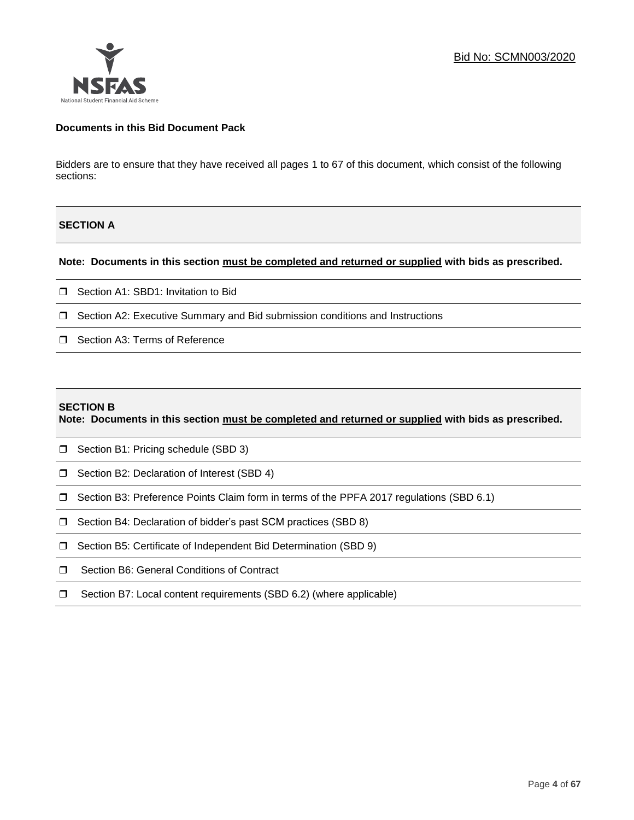### **Documents in this Bid Document Pack**

Bidders are to ensure that they have received all pages 1 to 67 of this document, which consist of the following sections:

### **SECTION A**

### **Note: Documents in this section must be completed and returned or supplied with bids as prescribed.**

- □ Section A1: SBD1: Invitation to Bid
- □ Section A2: Executive Summary and Bid submission conditions and Instructions
- □ Section A3: Terms of Reference

#### **SECTION B**

**Note: Documents in this section must be completed and returned or supplied with bids as prescribed.**

- □ Section B1: Pricing schedule (SBD 3)
- □ Section B2: Declaration of Interest (SBD 4)
- Section B3: Preference Points Claim form in terms of the PPFA 2017 regulations (SBD 6.1)
- □ Section B4: Declaration of bidder's past SCM practices (SBD 8)
- □ Section B5: Certificate of Independent Bid Determination (SBD 9)
- **I** Section B6: General Conditions of Contract
- □ Section B7: Local content requirements (SBD 6.2) (where applicable)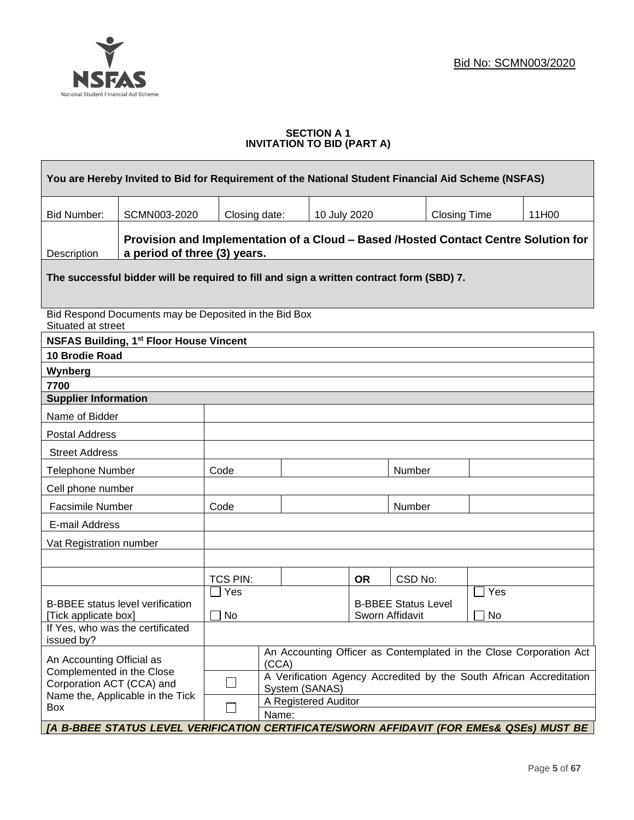$\overline{\phantom{0}}$ 



### **SECTION A 1 INVITATION TO BID (PART A)**

| You are Hereby Invited to Bid for Requirement of the National Student Financial Aid Scheme (NSFAS)                     |                                                                                                                     |                                                 |                |              |           |         |                     |     |                                                                     |
|------------------------------------------------------------------------------------------------------------------------|---------------------------------------------------------------------------------------------------------------------|-------------------------------------------------|----------------|--------------|-----------|---------|---------------------|-----|---------------------------------------------------------------------|
| <b>Bid Number:</b>                                                                                                     | SCMN003-2020                                                                                                        | Closing date:                                   |                | 10 July 2020 |           |         | <b>Closing Time</b> |     | 11H00                                                               |
| Description                                                                                                            | Provision and Implementation of a Cloud - Based /Hosted Contact Centre Solution for<br>a period of three (3) years. |                                                 |                |              |           |         |                     |     |                                                                     |
|                                                                                                                        | The successful bidder will be required to fill and sign a written contract form (SBD) 7.                            |                                                 |                |              |           |         |                     |     |                                                                     |
| Situated at street                                                                                                     | Bid Respond Documents may be Deposited in the Bid Box                                                               |                                                 |                |              |           |         |                     |     |                                                                     |
|                                                                                                                        | <b>NSFAS Building, 1st Floor House Vincent</b>                                                                      |                                                 |                |              |           |         |                     |     |                                                                     |
| <b>10 Brodie Road</b>                                                                                                  |                                                                                                                     |                                                 |                |              |           |         |                     |     |                                                                     |
| Wynberg                                                                                                                |                                                                                                                     |                                                 |                |              |           |         |                     |     |                                                                     |
| 7700                                                                                                                   |                                                                                                                     |                                                 |                |              |           |         |                     |     |                                                                     |
| <b>Supplier Information</b>                                                                                            |                                                                                                                     |                                                 |                |              |           |         |                     |     |                                                                     |
| Name of Bidder                                                                                                         |                                                                                                                     |                                                 |                |              |           |         |                     |     |                                                                     |
| Postal Address                                                                                                         |                                                                                                                     |                                                 |                |              |           |         |                     |     |                                                                     |
| <b>Street Address</b>                                                                                                  |                                                                                                                     |                                                 |                |              |           |         |                     |     |                                                                     |
| <b>Telephone Number</b>                                                                                                |                                                                                                                     | Code                                            |                |              |           | Number  |                     |     |                                                                     |
| Cell phone number                                                                                                      |                                                                                                                     |                                                 |                |              |           |         |                     |     |                                                                     |
| <b>Facsimile Number</b>                                                                                                |                                                                                                                     | Code                                            |                |              |           | Number  |                     |     |                                                                     |
| E-mail Address                                                                                                         |                                                                                                                     |                                                 |                |              |           |         |                     |     |                                                                     |
| Vat Registration number                                                                                                |                                                                                                                     |                                                 |                |              |           |         |                     |     |                                                                     |
|                                                                                                                        |                                                                                                                     |                                                 |                |              |           |         |                     |     |                                                                     |
|                                                                                                                        |                                                                                                                     | <b>TCS PIN:</b>                                 |                |              | <b>OR</b> | CSD No: |                     |     |                                                                     |
|                                                                                                                        |                                                                                                                     | Yes                                             |                |              |           |         |                     | Yes |                                                                     |
| <b>B-BBEE Status Level</b><br><b>B-BBEE</b> status level verification<br>No<br>Sworn Affidavit<br>[Tick applicate box] |                                                                                                                     |                                                 |                |              | <b>No</b> |         |                     |     |                                                                     |
| issued by?                                                                                                             | If Yes, who was the certificated                                                                                    |                                                 |                |              |           |         |                     |     |                                                                     |
| An Accounting Officer as Contemplated in the Close Corporation Act<br>An Accounting Official as<br>(CCA)               |                                                                                                                     |                                                 |                |              |           |         |                     |     |                                                                     |
| Complemented in the Close<br>Corporation ACT (CCA) and                                                                 |                                                                                                                     | ⊔                                               | System (SANAS) |              |           |         |                     |     | A Verification Agency Accredited by the South African Accreditation |
| Box                                                                                                                    | Name the, Applicable in the Tick                                                                                    | A Registered Auditor<br>$\blacksquare$<br>Name: |                |              |           |         |                     |     |                                                                     |
|                                                                                                                        | [A B-BBEE STATUS LEVEL VERIFICATION CERTIFICATE/SWORN AFFIDAVIT (FOR EMEs& QSEs) MUST BE                            |                                                 |                |              |           |         |                     |     |                                                                     |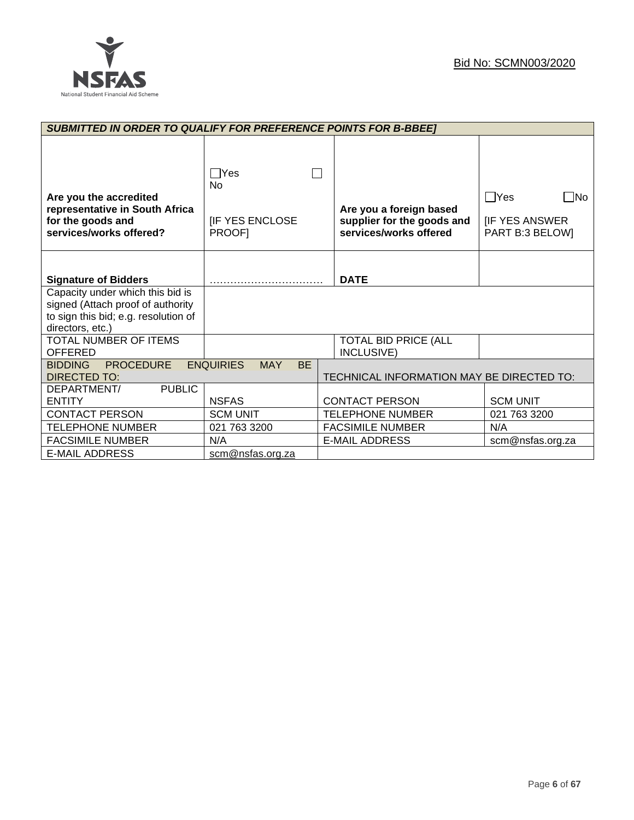

| <b>SUBMITTED IN ORDER TO QUALIFY FOR PREFERENCE POINTS FOR B-BBEE]</b>                                                            |                                                      |                                                                                 |                                                               |
|-----------------------------------------------------------------------------------------------------------------------------------|------------------------------------------------------|---------------------------------------------------------------------------------|---------------------------------------------------------------|
| Are you the accredited<br>representative in South Africa<br>for the goods and<br>services/works offered?                          | <b>PYes</b><br>No<br><b>IF YES ENCLOSE</b><br>PROOF] | Are you a foreign based<br>supplier for the goods and<br>services/works offered | $\Box$ Yes<br>- No<br><b>IF YES ANSWER</b><br>PART B:3 BELOW] |
| <b>Signature of Bidders</b>                                                                                                       |                                                      | <b>DATE</b>                                                                     |                                                               |
| Capacity under which this bid is<br>signed (Attach proof of authority<br>to sign this bid; e.g. resolution of<br>directors, etc.) |                                                      |                                                                                 |                                                               |
| TOTAL NUMBER OF ITEMS<br><b>OFFERED</b>                                                                                           |                                                      | <b>TOTAL BID PRICE (ALL</b><br>INCLUSIVE)                                       |                                                               |
| <b>PROCEDURE</b><br><b>BIDDING</b><br>DIRECTED TO:                                                                                | <b>ENQUIRIES</b><br><b>MAY</b><br><b>BE</b>          | TECHNICAL INFORMATION MAY BE DIRECTED TO:                                       |                                                               |
| <b>PUBLIC</b><br>DEPARTMENT/<br><b>ENTITY</b>                                                                                     | <b>NSFAS</b>                                         | <b>CONTACT PERSON</b>                                                           | <b>SCM UNIT</b>                                               |
| <b>CONTACT PERSON</b>                                                                                                             | <b>SCM UNIT</b>                                      | <b>TELEPHONE NUMBER</b>                                                         | 021 763 3200                                                  |
| <b>TELEPHONE NUMBER</b>                                                                                                           | 021 763 3200                                         | <b>FACSIMILE NUMBER</b>                                                         | N/A                                                           |
| <b>FACSIMILE NUMBER</b>                                                                                                           | N/A                                                  | <b>E-MAIL ADDRESS</b>                                                           | scm@nsfas.org.za                                              |
| <b>E-MAIL ADDRESS</b>                                                                                                             | scm@nsfas.org.za                                     |                                                                                 |                                                               |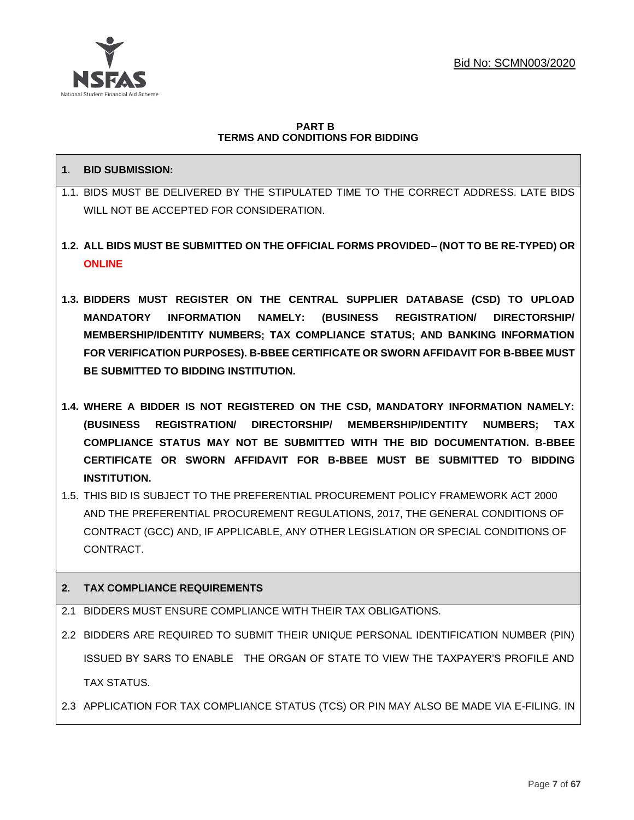

### **PART B TERMS AND CONDITIONS FOR BIDDING**

# **1. BID SUBMISSION:**

- 1.1. BIDS MUST BE DELIVERED BY THE STIPULATED TIME TO THE CORRECT ADDRESS. LATE BIDS WILL NOT BE ACCEPTED FOR CONSIDERATION.
- **1.2. ALL BIDS MUST BE SUBMITTED ON THE OFFICIAL FORMS PROVIDED– (NOT TO BE RE-TYPED) OR ONLINE**
- **1.3. BIDDERS MUST REGISTER ON THE CENTRAL SUPPLIER DATABASE (CSD) TO UPLOAD MANDATORY INFORMATION NAMELY: (BUSINESS REGISTRATION/ DIRECTORSHIP/ MEMBERSHIP/IDENTITY NUMBERS; TAX COMPLIANCE STATUS; AND BANKING INFORMATION FOR VERIFICATION PURPOSES). B-BBEE CERTIFICATE OR SWORN AFFIDAVIT FOR B-BBEE MUST BE SUBMITTED TO BIDDING INSTITUTION.**
- **1.4. WHERE A BIDDER IS NOT REGISTERED ON THE CSD, MANDATORY INFORMATION NAMELY: (BUSINESS REGISTRATION/ DIRECTORSHIP/ MEMBERSHIP/IDENTITY NUMBERS; TAX COMPLIANCE STATUS MAY NOT BE SUBMITTED WITH THE BID DOCUMENTATION. B-BBEE CERTIFICATE OR SWORN AFFIDAVIT FOR B-BBEE MUST BE SUBMITTED TO BIDDING INSTITUTION.**
- 1.5. THIS BID IS SUBJECT TO THE PREFERENTIAL PROCUREMENT POLICY FRAMEWORK ACT 2000 AND THE PREFERENTIAL PROCUREMENT REGULATIONS, 2017, THE GENERAL CONDITIONS OF CONTRACT (GCC) AND, IF APPLICABLE, ANY OTHER LEGISLATION OR SPECIAL CONDITIONS OF **CONTRACT**

# **2. TAX COMPLIANCE REQUIREMENTS**

- 2.1 BIDDERS MUST ENSURE COMPLIANCE WITH THEIR TAX OBLIGATIONS.
- 2.2 BIDDERS ARE REQUIRED TO SUBMIT THEIR UNIQUE PERSONAL IDENTIFICATION NUMBER (PIN) ISSUED BY SARS TO ENABLE THE ORGAN OF STATE TO VIEW THE TAXPAYER'S PROFILE AND TAX STATUS.
- 2.3 APPLICATION FOR TAX COMPLIANCE STATUS (TCS) OR PIN MAY ALSO BE MADE VIA E-FILING. IN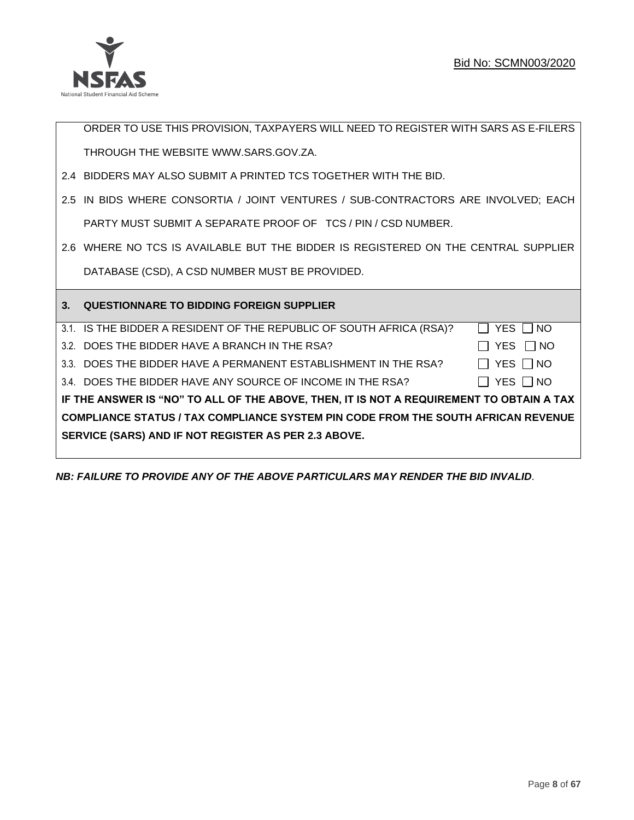

ORDER TO USE THIS PROVISION, TAXPAYERS WILL NEED TO REGISTER WITH SARS AS E-FILERS THROUGH THE WEBSITE [WWW.SARS.GOV.ZA.](http://www.sars.gov.za/) 2.4 BIDDERS MAY ALSO SUBMIT A PRINTED TCS TOGETHER WITH THE BID. 2.5 IN BIDS WHERE CONSORTIA / JOINT VENTURES / SUB-CONTRACTORS ARE INVOLVED; EACH PARTY MUST SUBMIT A SEPARATE PROOF OF TCS / PIN / CSD NUMBER. 2.6 WHERE NO TCS IS AVAILABLE BUT THE BIDDER IS REGISTERED ON THE CENTRAL SUPPLIER DATABASE (CSD), A CSD NUMBER MUST BE PROVIDED. **3. QUESTIONNARE TO BIDDING FOREIGN SUPPLIER**  3.1. IS THE BIDDER A RESIDENT OF THE REPUBLIC OF SOUTH AFRICA (RSA)?  $\Box$  YES  $\Box$  NO 3.2. DOES THE BIDDER HAVE A BRANCH IN THE RSA?  $\Box$  YES  $\Box$  NO 3.3. DOES THE BIDDER HAVE A PERMANENT ESTABLISHMENT IN THE RSA?  $\Box$  YES  $\Box$  NO 3.4. DOES THE BIDDER HAVE ANY SOURCE OF INCOME IN THE RSA?  $\Box$  YES  $\Box$  NO

**IF THE ANSWER IS "NO" TO ALL OF THE ABOVE, THEN, IT IS NOT A REQUIREMENT TO OBTAIN A TAX COMPLIANCE STATUS / TAX COMPLIANCE SYSTEM PIN CODE FROM THE SOUTH AFRICAN REVENUE SERVICE (SARS) AND IF NOT REGISTER AS PER 2.3 ABOVE.**

*NB: FAILURE TO PROVIDE ANY OF THE ABOVE PARTICULARS MAY RENDER THE BID INVALID.*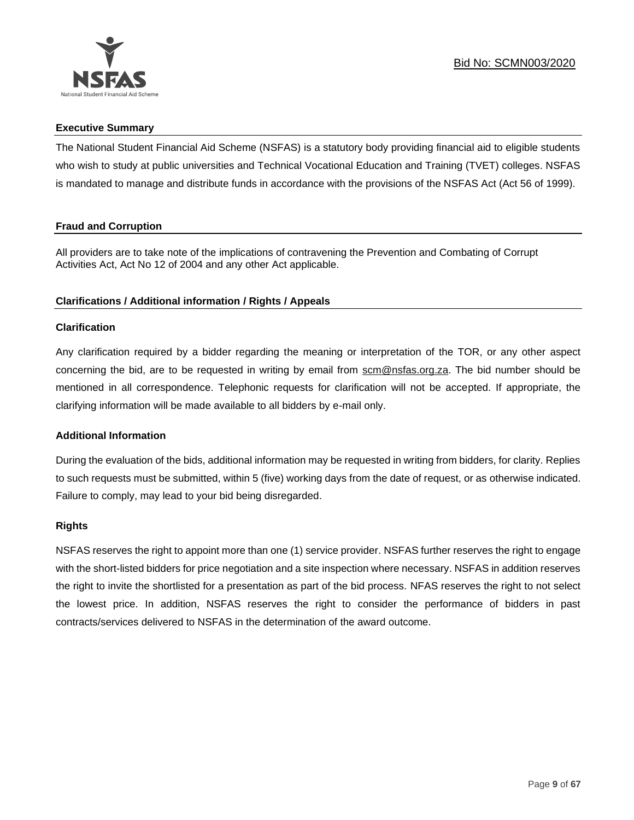

# **Executive Summary**

The National Student Financial Aid Scheme (NSFAS) is a statutory body providing financial aid to eligible students who wish to study at public universities and Technical Vocational Education and Training (TVET) colleges. NSFAS is mandated to manage and distribute funds in accordance with the provisions of the NSFAS Act (Act 56 of 1999).

# **Fraud and Corruption**

All providers are to take note of the implications of contravening the Prevention and Combating of Corrupt Activities Act, Act No 12 of 2004 and any other Act applicable.

# **Clarifications / Additional information / Rights / Appeals**

# **Clarification**

Any clarification required by a bidder regarding the meaning or interpretation of the TOR, or any other aspect concerning the bid, are to be requested in writing by email from scm@nsfas.org.za. The bid number should be mentioned in all correspondence. Telephonic requests for clarification will not be accepted. If appropriate, the clarifying information will be made available to all bidders by e-mail only.

# **Additional Information**

During the evaluation of the bids, additional information may be requested in writing from bidders, for clarity. Replies to such requests must be submitted, within 5 (five) working days from the date of request, or as otherwise indicated. Failure to comply, may lead to your bid being disregarded.

# **Rights**

NSFAS reserves the right to appoint more than one (1) service provider. NSFAS further reserves the right to engage with the short-listed bidders for price negotiation and a site inspection where necessary. NSFAS in addition reserves the right to invite the shortlisted for a presentation as part of the bid process. NFAS reserves the right to not select the lowest price. In addition, NSFAS reserves the right to consider the performance of bidders in past contracts/services delivered to NSFAS in the determination of the award outcome.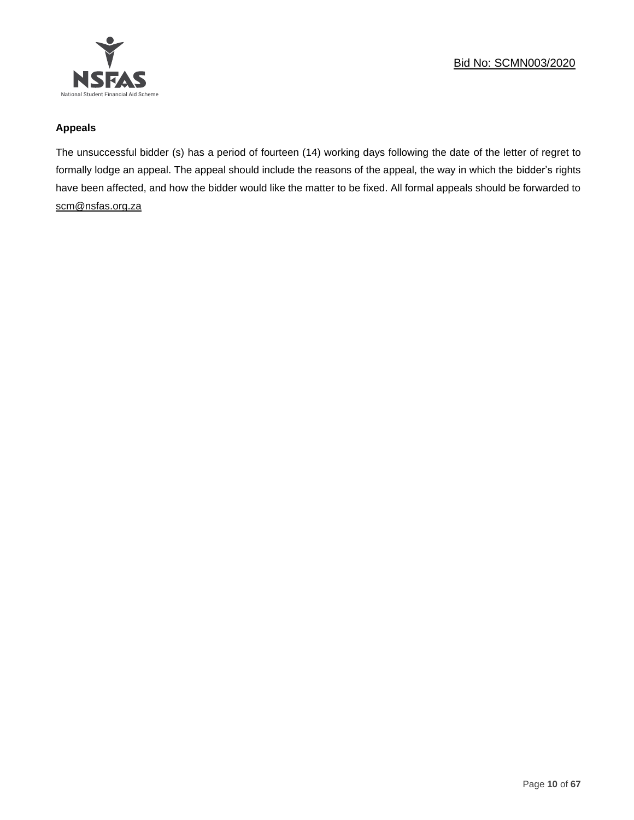

# **Appeals**

The unsuccessful bidder (s) has a period of fourteen (14) working days following the date of the letter of regret to formally lodge an appeal. The appeal should include the reasons of the appeal, the way in which the bidder's rights have been affected, and how the bidder would like the matter to be fixed. All formal appeals should be forwarded to [scm@nsfas.org.za](mailto:scm@nsfas.org.za)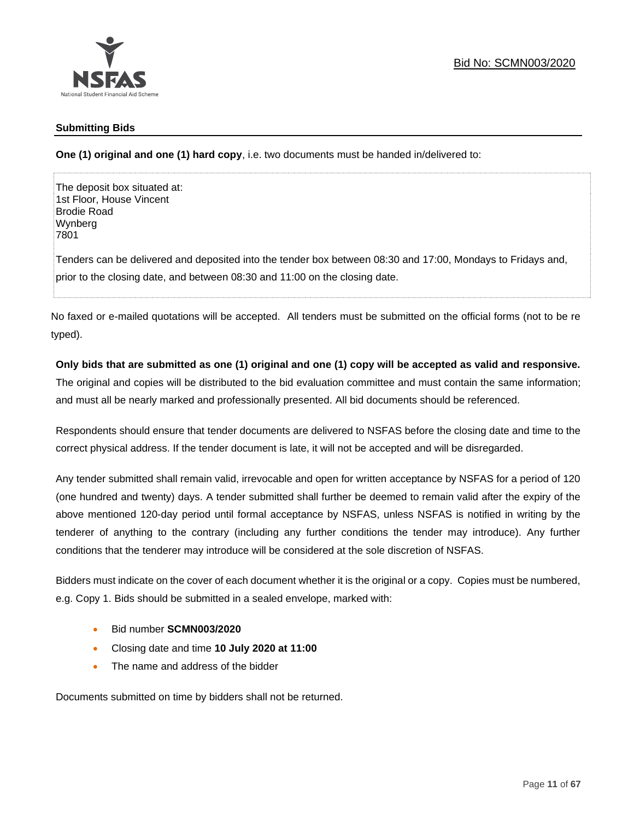

# **Submitting Bids**

**One (1) original and one (1) hard copy**, i.e. two documents must be handed in/delivered to:

The deposit box situated at: 1st Floor, House Vincent Brodie Road Wynberg 7801

Tenders can be delivered and deposited into the tender box between 08:30 and 17:00, Mondays to Fridays and, prior to the closing date, and between 08:30 and 11:00 on the closing date.

No faxed or e-mailed quotations will be accepted. All tenders must be submitted on the official forms (not to be re typed).

# **Only bids that are submitted as one (1) original and one (1) copy will be accepted as valid and responsive.**

The original and copies will be distributed to the bid evaluation committee and must contain the same information; and must all be nearly marked and professionally presented. All bid documents should be referenced.

Respondents should ensure that tender documents are delivered to NSFAS before the closing date and time to the correct physical address. If the tender document is late, it will not be accepted and will be disregarded.

Any tender submitted shall remain valid, irrevocable and open for written acceptance by NSFAS for a period of 120 (one hundred and twenty) days. A tender submitted shall further be deemed to remain valid after the expiry of the above mentioned 120-day period until formal acceptance by NSFAS, unless NSFAS is notified in writing by the tenderer of anything to the contrary (including any further conditions the tender may introduce). Any further conditions that the tenderer may introduce will be considered at the sole discretion of NSFAS.

Bidders must indicate on the cover of each document whether it is the original or a copy. Copies must be numbered, e.g. Copy 1. Bids should be submitted in a sealed envelope, marked with:

- Bid number **SCMN003/2020**
- Closing date and time **10 July 2020 at 11:00**
- The name and address of the bidder

Documents submitted on time by bidders shall not be returned.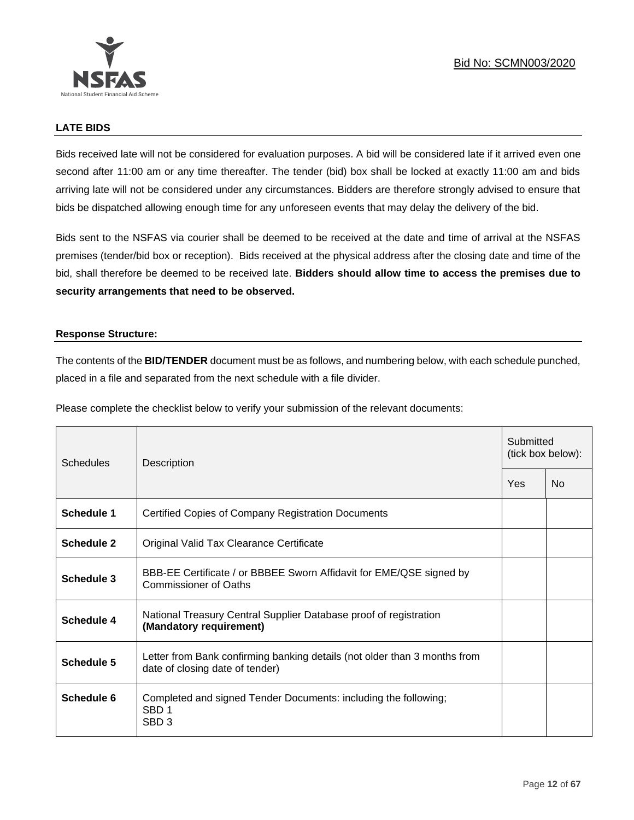

# **LATE BIDS**

Bids received late will not be considered for evaluation purposes. A bid will be considered late if it arrived even one second after 11:00 am or any time thereafter. The tender (bid) box shall be locked at exactly 11:00 am and bids arriving late will not be considered under any circumstances. Bidders are therefore strongly advised to ensure that bids be dispatched allowing enough time for any unforeseen events that may delay the delivery of the bid.

Bids sent to the NSFAS via courier shall be deemed to be received at the date and time of arrival at the NSFAS premises (tender/bid box or reception). Bids received at the physical address after the closing date and time of the bid, shall therefore be deemed to be received late. **Bidders should allow time to access the premises due to security arrangements that need to be observed.**

### **Response Structure:**

The contents of the **BID/TENDER** document must be as follows, and numbering below, with each schedule punched, placed in a file and separated from the next schedule with a file divider.

Please complete the checklist below to verify your submission of the relevant documents:

| Schedules         | Description                                                                                                  |     | Submitted<br>(tick box below): |  |
|-------------------|--------------------------------------------------------------------------------------------------------------|-----|--------------------------------|--|
|                   |                                                                                                              | Yes | <b>No</b>                      |  |
| Schedule 1        | <b>Certified Copies of Company Registration Documents</b>                                                    |     |                                |  |
| Schedule 2        | Original Valid Tax Clearance Certificate                                                                     |     |                                |  |
| Schedule 3        | BBB-EE Certificate / or BBBEE Sworn Affidavit for EME/QSE signed by<br>Commissioner of Oaths                 |     |                                |  |
| <b>Schedule 4</b> | National Treasury Central Supplier Database proof of registration<br>(Mandatory requirement)                 |     |                                |  |
| Schedule 5        | Letter from Bank confirming banking details (not older than 3 months from<br>date of closing date of tender) |     |                                |  |
| Schedule 6        | Completed and signed Tender Documents: including the following;<br>SBD <sub>1</sub><br>SBD <sub>3</sub>      |     |                                |  |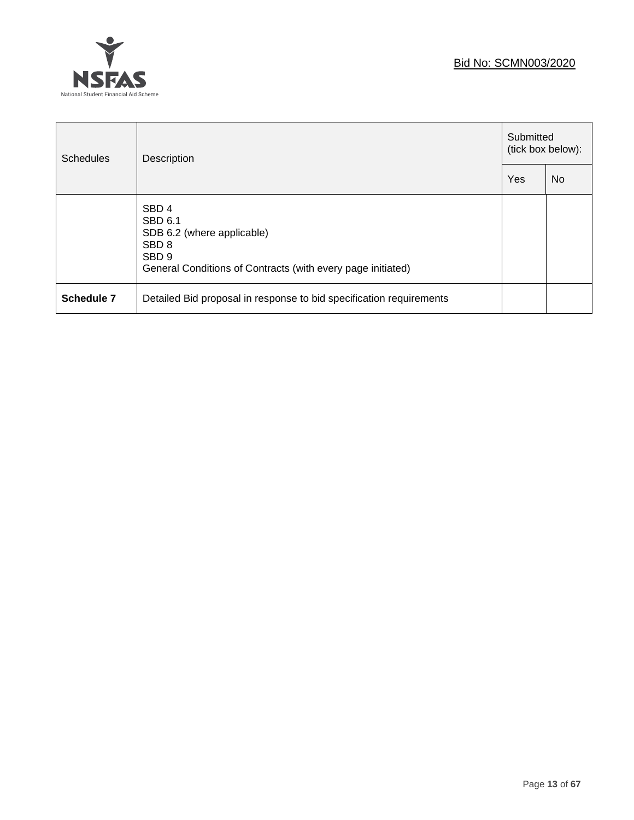

| <b>Schedules</b> | Description                                                                                                                                                      |     | Submitted<br>(tick box below): |  |
|------------------|------------------------------------------------------------------------------------------------------------------------------------------------------------------|-----|--------------------------------|--|
|                  |                                                                                                                                                                  | Yes | N <sub>0</sub>                 |  |
|                  | SBD <sub>4</sub><br>SBD 6.1<br>SDB 6.2 (where applicable)<br>SBD <sub>8</sub><br>SBD <sub>9</sub><br>General Conditions of Contracts (with every page initiated) |     |                                |  |
| Schedule 7       | Detailed Bid proposal in response to bid specification requirements                                                                                              |     |                                |  |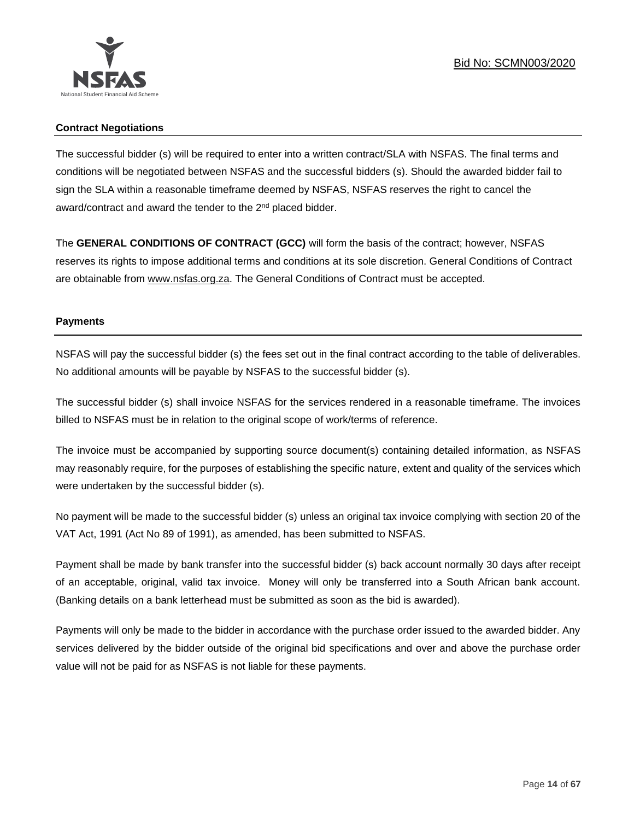

# **Contract Negotiations**

The successful bidder (s) will be required to enter into a written contract/SLA with NSFAS. The final terms and conditions will be negotiated between NSFAS and the successful bidders (s). Should the awarded bidder fail to sign the SLA within a reasonable timeframe deemed by NSFAS, NSFAS reserves the right to cancel the award/contract and award the tender to the 2<sup>nd</sup> placed bidder.

The **GENERAL CONDITIONS OF CONTRACT (GCC)** will form the basis of the contract; however, NSFAS reserves its rights to impose additional terms and conditions at its sole discretion. General Conditions of Contract are obtainable from [www.nsfas.org.za.](http://www.nsfas.org.za/) The General Conditions of Contract must be accepted.

# **Payments**

NSFAS will pay the successful bidder (s) the fees set out in the final contract according to the table of deliverables. No additional amounts will be payable by NSFAS to the successful bidder (s).

The successful bidder (s) shall invoice NSFAS for the services rendered in a reasonable timeframe. The invoices billed to NSFAS must be in relation to the original scope of work/terms of reference.

The invoice must be accompanied by supporting source document(s) containing detailed information, as NSFAS may reasonably require, for the purposes of establishing the specific nature, extent and quality of the services which were undertaken by the successful bidder (s).

No payment will be made to the successful bidder (s) unless an original tax invoice complying with section 20 of the VAT Act, 1991 (Act No 89 of 1991), as amended, has been submitted to NSFAS.

Payment shall be made by bank transfer into the successful bidder (s) back account normally 30 days after receipt of an acceptable, original, valid tax invoice. Money will only be transferred into a South African bank account. (Banking details on a bank letterhead must be submitted as soon as the bid is awarded).

Payments will only be made to the bidder in accordance with the purchase order issued to the awarded bidder. Any services delivered by the bidder outside of the original bid specifications and over and above the purchase order value will not be paid for as NSFAS is not liable for these payments.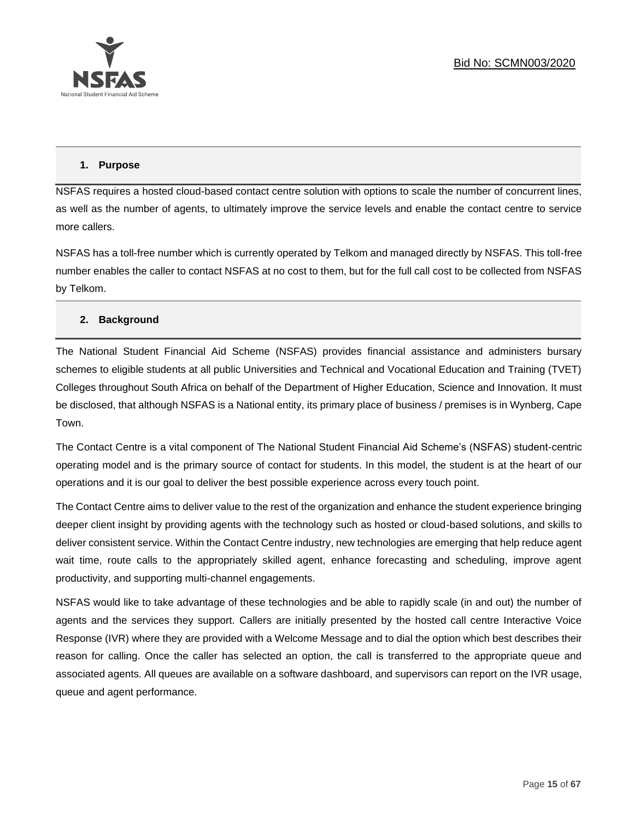

# **1. Purpose**

NSFAS requires a hosted cloud-based contact centre solution with options to scale the number of concurrent lines, as well as the number of agents, to ultimately improve the service levels and enable the contact centre to service more callers.

NSFAS has a toll-free number which is currently operated by Telkom and managed directly by NSFAS. This toll-free number enables the caller to contact NSFAS at no cost to them, but for the full call cost to be collected from NSFAS by Telkom.

# **2. Background**

The National Student Financial Aid Scheme (NSFAS) provides financial assistance and administers bursary schemes to eligible students at all public Universities and Technical and Vocational Education and Training (TVET) Colleges throughout South Africa on behalf of the Department of Higher Education, Science and Innovation. It must be disclosed, that although NSFAS is a National entity, its primary place of business / premises is in Wynberg, Cape Town.

The Contact Centre is a vital component of The National Student Financial Aid Scheme's (NSFAS) student-centric operating model and is the primary source of contact for students. In this model, the student is at the heart of our operations and it is our goal to deliver the best possible experience across every touch point.

The Contact Centre aims to deliver value to the rest of the organization and enhance the student experience bringing deeper client insight by providing agents with the technology such as hosted or cloud-based solutions, and skills to deliver consistent service. Within the Contact Centre industry, new technologies are emerging that help reduce agent wait time, route calls to the appropriately skilled agent, enhance forecasting and scheduling, improve agent productivity, and supporting multi-channel engagements.

NSFAS would like to take advantage of these technologies and be able to rapidly scale (in and out) the number of agents and the services they support. Callers are initially presented by the hosted call centre Interactive Voice Response (IVR) where they are provided with a Welcome Message and to dial the option which best describes their reason for calling. Once the caller has selected an option, the call is transferred to the appropriate queue and associated agents. All queues are available on a software dashboard, and supervisors can report on the IVR usage, queue and agent performance.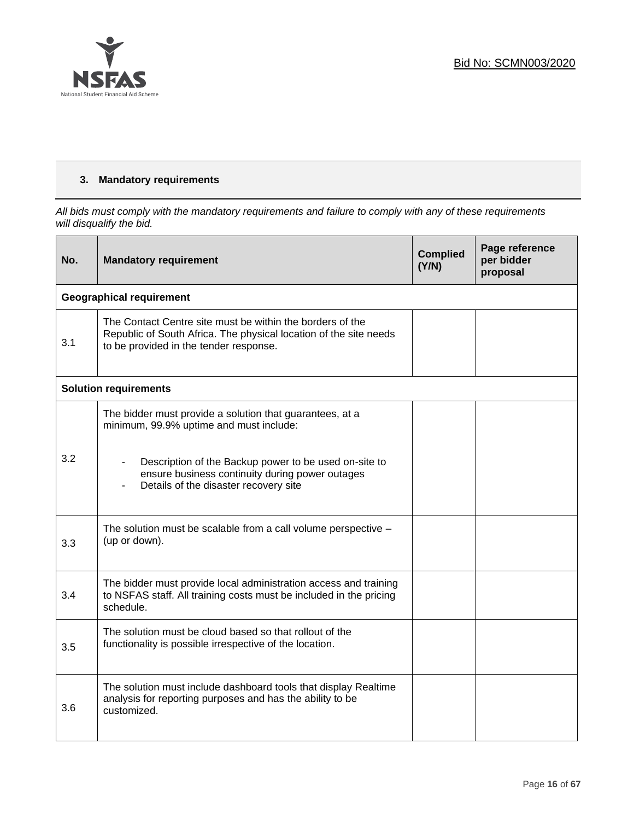

# **3. Mandatory requirements**

*All bids must comply with the mandatory requirements and failure to comply with any of these requirements will disqualify the bid.*

| No. | <b>Mandatory requirement</b>                                                                                                                                                  | <b>Complied</b><br>(Y/N) | Page reference<br>per bidder<br>proposal |
|-----|-------------------------------------------------------------------------------------------------------------------------------------------------------------------------------|--------------------------|------------------------------------------|
|     | <b>Geographical requirement</b>                                                                                                                                               |                          |                                          |
| 3.1 | The Contact Centre site must be within the borders of the<br>Republic of South Africa. The physical location of the site needs<br>to be provided in the tender response.      |                          |                                          |
|     | <b>Solution requirements</b>                                                                                                                                                  |                          |                                          |
|     | The bidder must provide a solution that guarantees, at a<br>minimum, 99.9% uptime and must include:                                                                           |                          |                                          |
| 3.2 | Description of the Backup power to be used on-site to<br>$\blacksquare$<br>ensure business continuity during power outages<br>Details of the disaster recovery site<br>$\sim$ |                          |                                          |
| 3.3 | The solution must be scalable from a call volume perspective -<br>(up or down).                                                                                               |                          |                                          |
| 3.4 | The bidder must provide local administration access and training<br>to NSFAS staff. All training costs must be included in the pricing<br>schedule.                           |                          |                                          |
| 3.5 | The solution must be cloud based so that rollout of the<br>functionality is possible irrespective of the location.                                                            |                          |                                          |
| 3.6 | The solution must include dashboard tools that display Realtime<br>analysis for reporting purposes and has the ability to be<br>customized.                                   |                          |                                          |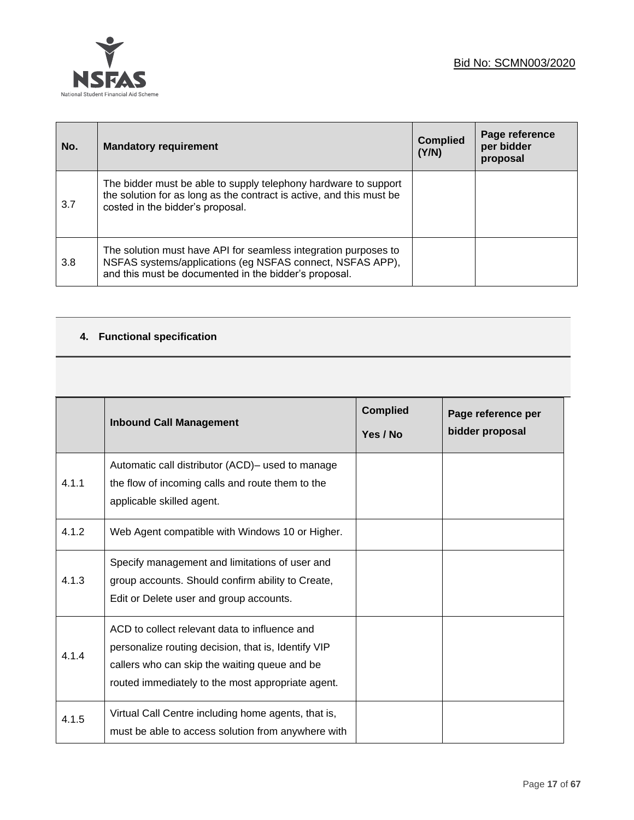



| No. | <b>Mandatory requirement</b>                                                                                                                                                          | <b>Complied</b><br>(Y/N) | Page reference<br>per bidder<br>proposal |
|-----|---------------------------------------------------------------------------------------------------------------------------------------------------------------------------------------|--------------------------|------------------------------------------|
| 3.7 | The bidder must be able to supply telephony hardware to support<br>the solution for as long as the contract is active, and this must be<br>costed in the bidder's proposal.           |                          |                                          |
| 3.8 | The solution must have API for seamless integration purposes to<br>NSFAS systems/applications (eg NSFAS connect, NSFAS APP),<br>and this must be documented in the bidder's proposal. |                          |                                          |

# **4. Functional specification**

|       | <b>Inbound Call Management</b>                                                                                                                                                                             | <b>Complied</b><br>Yes / No | Page reference per<br>bidder proposal |
|-------|------------------------------------------------------------------------------------------------------------------------------------------------------------------------------------------------------------|-----------------------------|---------------------------------------|
| 4.1.1 | Automatic call distributor (ACD) – used to manage<br>the flow of incoming calls and route them to the<br>applicable skilled agent.                                                                         |                             |                                       |
| 4.1.2 | Web Agent compatible with Windows 10 or Higher.                                                                                                                                                            |                             |                                       |
| 4.1.3 | Specify management and limitations of user and<br>group accounts. Should confirm ability to Create,<br>Edit or Delete user and group accounts.                                                             |                             |                                       |
| 4.1.4 | ACD to collect relevant data to influence and<br>personalize routing decision, that is, Identify VIP<br>callers who can skip the waiting queue and be<br>routed immediately to the most appropriate agent. |                             |                                       |
| 4.1.5 | Virtual Call Centre including home agents, that is,<br>must be able to access solution from anywhere with                                                                                                  |                             |                                       |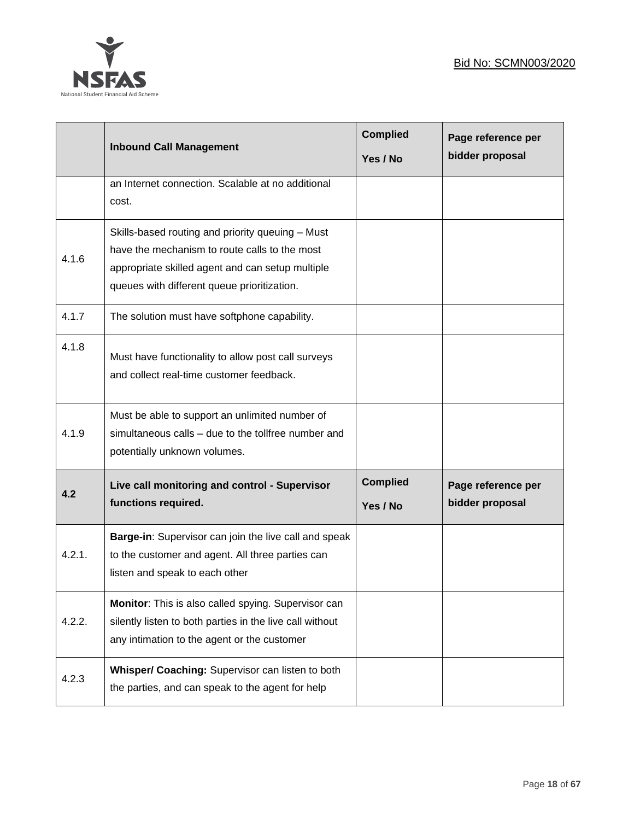

|        | <b>Inbound Call Management</b>                                                                                                                                                                       | <b>Complied</b><br>Yes / No | Page reference per<br>bidder proposal |
|--------|------------------------------------------------------------------------------------------------------------------------------------------------------------------------------------------------------|-----------------------------|---------------------------------------|
|        | an Internet connection. Scalable at no additional<br>cost.                                                                                                                                           |                             |                                       |
| 4.1.6  | Skills-based routing and priority queuing - Must<br>have the mechanism to route calls to the most<br>appropriate skilled agent and can setup multiple<br>queues with different queue prioritization. |                             |                                       |
| 4.1.7  | The solution must have softphone capability.                                                                                                                                                         |                             |                                       |
| 4.1.8  | Must have functionality to allow post call surveys<br>and collect real-time customer feedback.                                                                                                       |                             |                                       |
| 4.1.9  | Must be able to support an unlimited number of<br>simultaneous calls - due to the tollfree number and<br>potentially unknown volumes.                                                                |                             |                                       |
| 4.2    | Live call monitoring and control - Supervisor<br>functions required.                                                                                                                                 | <b>Complied</b><br>Yes / No | Page reference per<br>bidder proposal |
| 4.2.1. | Barge-in: Supervisor can join the live call and speak<br>to the customer and agent. All three parties can<br>listen and speak to each other                                                          |                             |                                       |
| 4.2.2. | Monitor: This is also called spying. Supervisor can<br>silently listen to both parties in the live call without<br>any intimation to the agent or the customer                                       |                             |                                       |
| 4.2.3  | Whisper/ Coaching: Supervisor can listen to both<br>the parties, and can speak to the agent for help                                                                                                 |                             |                                       |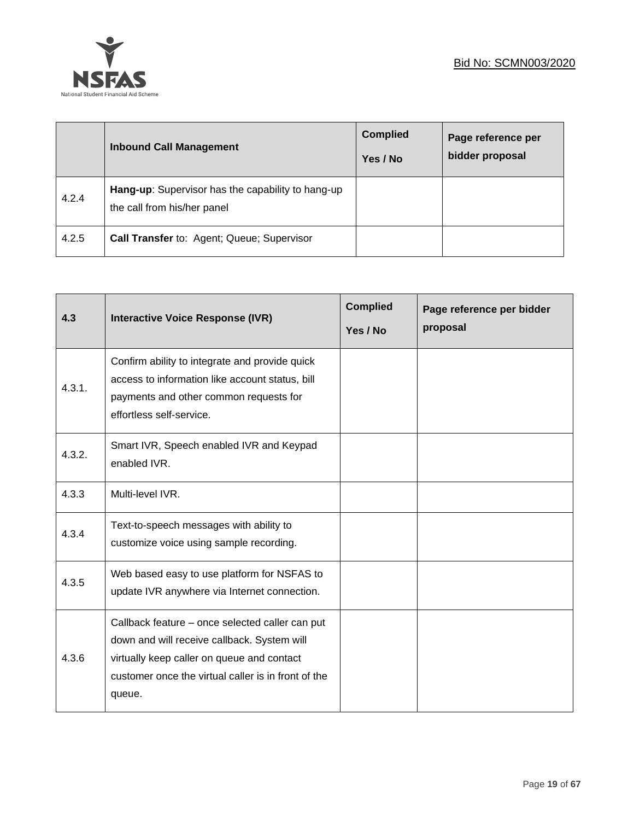

|       | <b>Inbound Call Management</b>                                                   | <b>Complied</b><br>Yes / No | Page reference per<br>bidder proposal |
|-------|----------------------------------------------------------------------------------|-----------------------------|---------------------------------------|
| 4.2.4 | Hang-up: Supervisor has the capability to hang-up<br>the call from his/her panel |                             |                                       |
| 4.2.5 | Call Transfer to: Agent; Queue; Supervisor                                       |                             |                                       |

| 4.3    | <b>Interactive Voice Response (IVR)</b>                                                                                                                                                                       | <b>Complied</b><br>Yes / No | Page reference per bidder<br>proposal |
|--------|---------------------------------------------------------------------------------------------------------------------------------------------------------------------------------------------------------------|-----------------------------|---------------------------------------|
| 4.3.1. | Confirm ability to integrate and provide quick<br>access to information like account status, bill<br>payments and other common requests for<br>effortless self-service.                                       |                             |                                       |
| 4.3.2. | Smart IVR, Speech enabled IVR and Keypad<br>enabled IVR.                                                                                                                                                      |                             |                                       |
| 4.3.3  | Multi-level IVR.                                                                                                                                                                                              |                             |                                       |
| 4.3.4  | Text-to-speech messages with ability to<br>customize voice using sample recording.                                                                                                                            |                             |                                       |
| 4.3.5  | Web based easy to use platform for NSFAS to<br>update IVR anywhere via Internet connection.                                                                                                                   |                             |                                       |
| 4.3.6  | Callback feature - once selected caller can put<br>down and will receive callback. System will<br>virtually keep caller on queue and contact<br>customer once the virtual caller is in front of the<br>queue. |                             |                                       |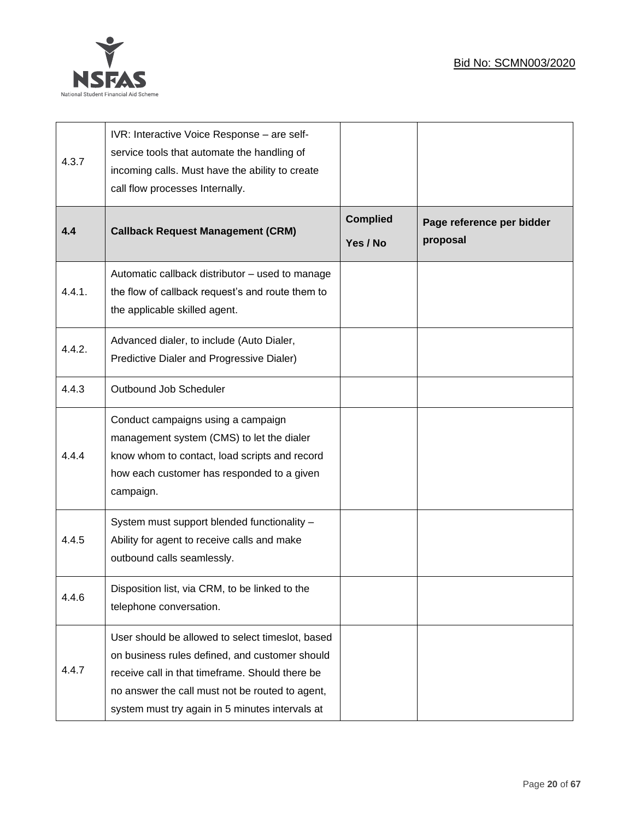

| 4.3.7  | IVR: Interactive Voice Response - are self-<br>service tools that automate the handling of<br>incoming calls. Must have the ability to create<br>call flow processes Internally.                                                                            |                             |                                       |
|--------|-------------------------------------------------------------------------------------------------------------------------------------------------------------------------------------------------------------------------------------------------------------|-----------------------------|---------------------------------------|
| 4.4    | <b>Callback Request Management (CRM)</b>                                                                                                                                                                                                                    | <b>Complied</b><br>Yes / No | Page reference per bidder<br>proposal |
| 4.4.1. | Automatic callback distributor - used to manage<br>the flow of callback request's and route them to<br>the applicable skilled agent.                                                                                                                        |                             |                                       |
| 4.4.2. | Advanced dialer, to include (Auto Dialer,<br>Predictive Dialer and Progressive Dialer)                                                                                                                                                                      |                             |                                       |
| 4.4.3  | Outbound Job Scheduler                                                                                                                                                                                                                                      |                             |                                       |
| 4.4.4  | Conduct campaigns using a campaign<br>management system (CMS) to let the dialer<br>know whom to contact, load scripts and record<br>how each customer has responded to a given<br>campaign.                                                                 |                             |                                       |
| 4.4.5  | System must support blended functionality -<br>Ability for agent to receive calls and make<br>outbound calls seamlessly.                                                                                                                                    |                             |                                       |
| 4.4.6  | Disposition list, via CRM, to be linked to the<br>telephone conversation.                                                                                                                                                                                   |                             |                                       |
| 4.4.7  | User should be allowed to select timeslot, based<br>on business rules defined, and customer should<br>receive call in that timeframe. Should there be<br>no answer the call must not be routed to agent,<br>system must try again in 5 minutes intervals at |                             |                                       |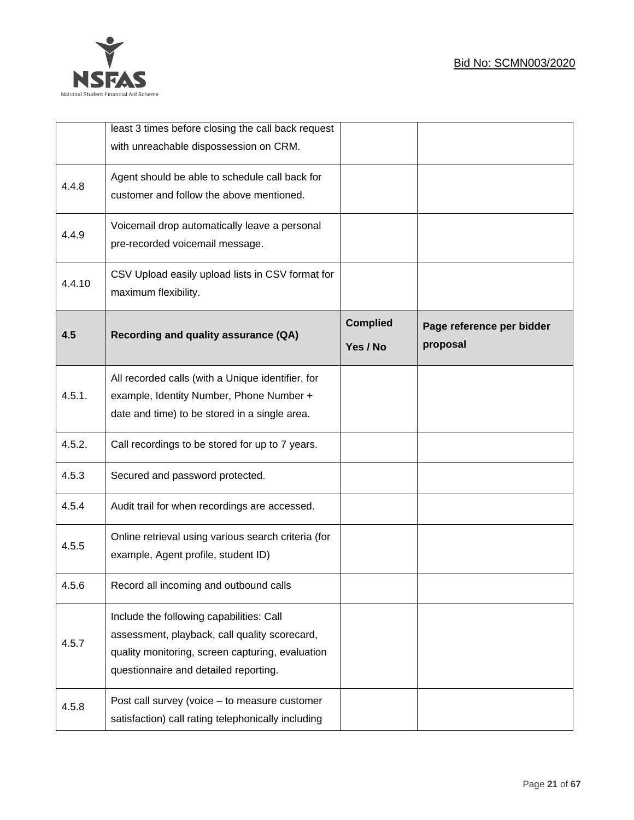

|        | least 3 times before closing the call back request<br>with unreachable dispossession on CRM.                                                                                           |                             |                                       |
|--------|----------------------------------------------------------------------------------------------------------------------------------------------------------------------------------------|-----------------------------|---------------------------------------|
| 4.4.8  | Agent should be able to schedule call back for<br>customer and follow the above mentioned.                                                                                             |                             |                                       |
| 4.4.9  | Voicemail drop automatically leave a personal<br>pre-recorded voicemail message.                                                                                                       |                             |                                       |
| 4.4.10 | CSV Upload easily upload lists in CSV format for<br>maximum flexibility.                                                                                                               |                             |                                       |
| 4.5    | Recording and quality assurance (QA)                                                                                                                                                   | <b>Complied</b><br>Yes / No | Page reference per bidder<br>proposal |
| 4.5.1. | All recorded calls (with a Unique identifier, for<br>example, Identity Number, Phone Number +<br>date and time) to be stored in a single area.                                         |                             |                                       |
| 4.5.2. | Call recordings to be stored for up to 7 years.                                                                                                                                        |                             |                                       |
| 4.5.3  | Secured and password protected.                                                                                                                                                        |                             |                                       |
| 4.5.4  | Audit trail for when recordings are accessed.                                                                                                                                          |                             |                                       |
| 4.5.5  | Online retrieval using various search criteria (for<br>example, Agent profile, student ID)                                                                                             |                             |                                       |
| 4.5.6  | Record all incoming and outbound calls                                                                                                                                                 |                             |                                       |
| 4.5.7  | Include the following capabilities: Call<br>assessment, playback, call quality scorecard,<br>quality monitoring, screen capturing, evaluation<br>questionnaire and detailed reporting. |                             |                                       |
| 4.5.8  | Post call survey (voice - to measure customer<br>satisfaction) call rating telephonically including                                                                                    |                             |                                       |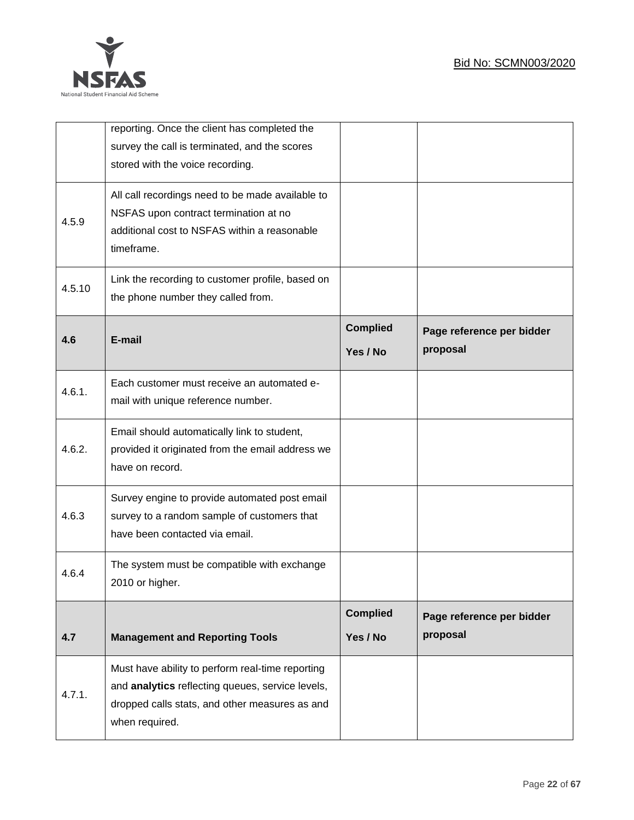

|        | reporting. Once the client has completed the<br>survey the call is terminated, and the scores<br>stored with the voice recording.                                        |                             |                                       |
|--------|--------------------------------------------------------------------------------------------------------------------------------------------------------------------------|-----------------------------|---------------------------------------|
| 4.5.9  | All call recordings need to be made available to<br>NSFAS upon contract termination at no<br>additional cost to NSFAS within a reasonable<br>timeframe.                  |                             |                                       |
| 4.5.10 | Link the recording to customer profile, based on<br>the phone number they called from.                                                                                   |                             |                                       |
| 4.6    | E-mail                                                                                                                                                                   | <b>Complied</b><br>Yes / No | Page reference per bidder<br>proposal |
| 4.6.1. | Each customer must receive an automated e-<br>mail with unique reference number.                                                                                         |                             |                                       |
| 4.6.2. | Email should automatically link to student,<br>provided it originated from the email address we<br>have on record.                                                       |                             |                                       |
| 4.6.3  | Survey engine to provide automated post email<br>survey to a random sample of customers that<br>have been contacted via email.                                           |                             |                                       |
| 4.6.4  | The system must be compatible with exchange<br>2010 or higher.                                                                                                           |                             |                                       |
| 4.7    | <b>Management and Reporting Tools</b>                                                                                                                                    | <b>Complied</b><br>Yes / No | Page reference per bidder<br>proposal |
| 4.7.1. | Must have ability to perform real-time reporting<br>and analytics reflecting queues, service levels,<br>dropped calls stats, and other measures as and<br>when required. |                             |                                       |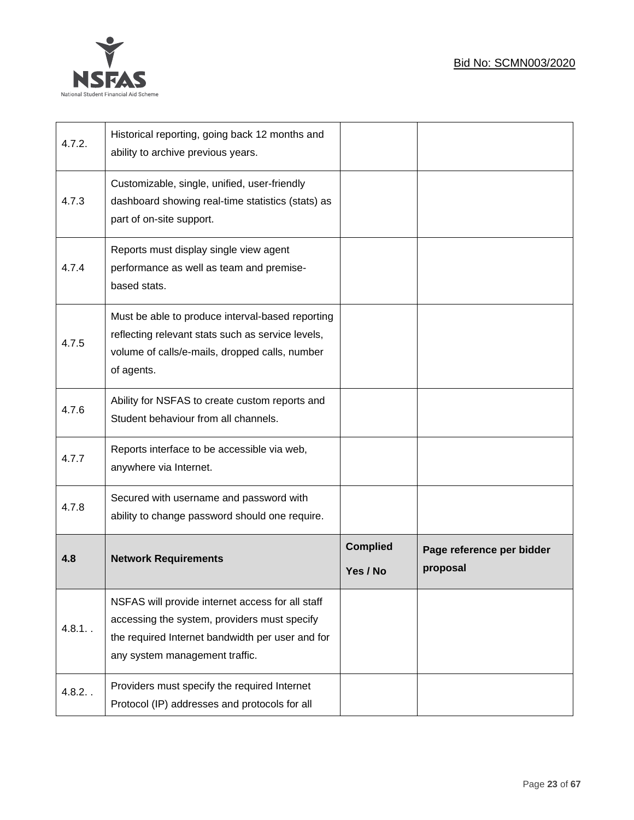

| 4.7.2. | Historical reporting, going back 12 months and<br>ability to archive previous years.                                                                                                   |                             |                                       |
|--------|----------------------------------------------------------------------------------------------------------------------------------------------------------------------------------------|-----------------------------|---------------------------------------|
| 4.7.3  | Customizable, single, unified, user-friendly<br>dashboard showing real-time statistics (stats) as<br>part of on-site support.                                                          |                             |                                       |
| 4.7.4  | Reports must display single view agent<br>performance as well as team and premise-<br>based stats.                                                                                     |                             |                                       |
| 4.7.5  | Must be able to produce interval-based reporting<br>reflecting relevant stats such as service levels,<br>volume of calls/e-mails, dropped calls, number<br>of agents.                  |                             |                                       |
| 4.7.6  | Ability for NSFAS to create custom reports and<br>Student behaviour from all channels.                                                                                                 |                             |                                       |
| 4.7.7  | Reports interface to be accessible via web,<br>anywhere via Internet.                                                                                                                  |                             |                                       |
| 4.7.8  | Secured with username and password with<br>ability to change password should one require.                                                                                              |                             |                                       |
| 4.8    | <b>Network Requirements</b>                                                                                                                                                            | <b>Complied</b><br>Yes / No | Page reference per bidder<br>proposal |
| 4.8.1. | NSFAS will provide internet access for all staff<br>accessing the system, providers must specify<br>the required Internet bandwidth per user and for<br>any system management traffic. |                             |                                       |
| 4.8.2. | Providers must specify the required Internet<br>Protocol (IP) addresses and protocols for all                                                                                          |                             |                                       |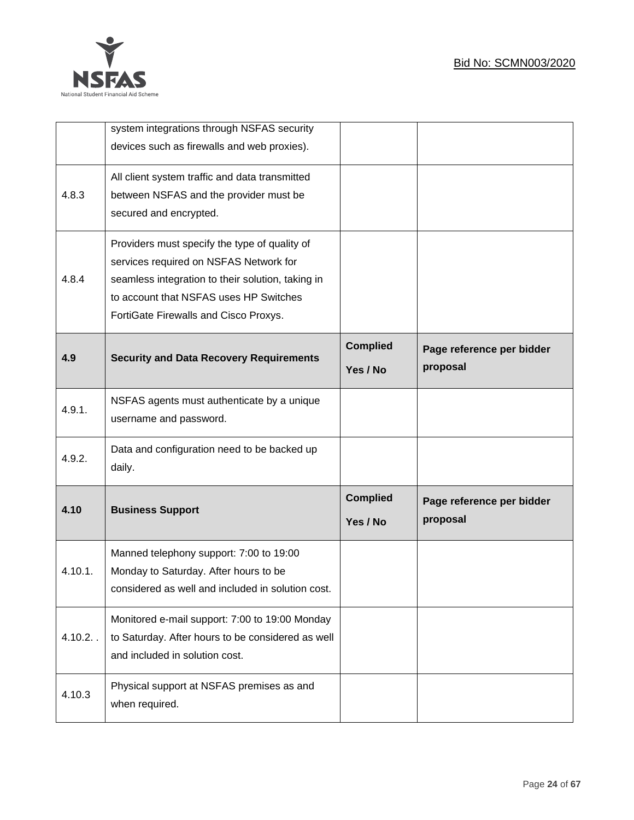

|             | system integrations through NSFAS security<br>devices such as firewalls and web proxies).                                                                                                                                       |                             |                                       |
|-------------|---------------------------------------------------------------------------------------------------------------------------------------------------------------------------------------------------------------------------------|-----------------------------|---------------------------------------|
| 4.8.3       | All client system traffic and data transmitted<br>between NSFAS and the provider must be<br>secured and encrypted.                                                                                                              |                             |                                       |
| 4.8.4       | Providers must specify the type of quality of<br>services required on NSFAS Network for<br>seamless integration to their solution, taking in<br>to account that NSFAS uses HP Switches<br>FortiGate Firewalls and Cisco Proxys. |                             |                                       |
| 4.9         | <b>Security and Data Recovery Requirements</b>                                                                                                                                                                                  | <b>Complied</b><br>Yes / No | Page reference per bidder<br>proposal |
| 4.9.1.      | NSFAS agents must authenticate by a unique<br>username and password.                                                                                                                                                            |                             |                                       |
| 4.9.2.      | Data and configuration need to be backed up<br>daily.                                                                                                                                                                           |                             |                                       |
| 4.10        | <b>Business Support</b>                                                                                                                                                                                                         | <b>Complied</b><br>Yes / No | Page reference per bidder<br>proposal |
| 4.10.1.     | Manned telephony support: 7:00 to 19:00<br>Monday to Saturday. After hours to be<br>considered as well and included in solution cost.                                                                                           |                             |                                       |
| $4.10.2.$ . | Monitored e-mail support: 7:00 to 19:00 Monday<br>to Saturday. After hours to be considered as well<br>and included in solution cost.                                                                                           |                             |                                       |
| 4.10.3      | Physical support at NSFAS premises as and<br>when required.                                                                                                                                                                     |                             |                                       |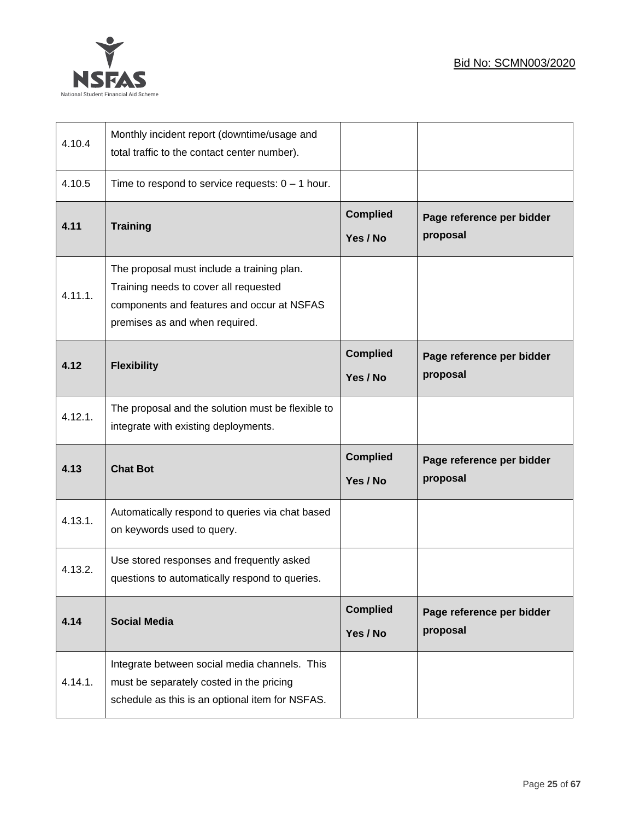

| 4.10.4  | Monthly incident report (downtime/usage and<br>total traffic to the contact center number).                                                                         |                             |                                       |
|---------|---------------------------------------------------------------------------------------------------------------------------------------------------------------------|-----------------------------|---------------------------------------|
| 4.10.5  | Time to respond to service requests: $0 - 1$ hour.                                                                                                                  |                             |                                       |
| 4.11    | <b>Training</b>                                                                                                                                                     | <b>Complied</b><br>Yes / No | Page reference per bidder<br>proposal |
| 4.11.1. | The proposal must include a training plan.<br>Training needs to cover all requested<br>components and features and occur at NSFAS<br>premises as and when required. |                             |                                       |
| 4.12    | <b>Flexibility</b>                                                                                                                                                  | <b>Complied</b><br>Yes / No | Page reference per bidder<br>proposal |
| 4.12.1. | The proposal and the solution must be flexible to<br>integrate with existing deployments.                                                                           |                             |                                       |
| 4.13    | <b>Chat Bot</b>                                                                                                                                                     | <b>Complied</b><br>Yes / No | Page reference per bidder<br>proposal |
| 4.13.1. | Automatically respond to queries via chat based<br>on keywords used to query.                                                                                       |                             |                                       |
| 4.13.2. | Use stored responses and frequently asked<br>questions to automatically respond to queries.                                                                         |                             |                                       |
| 4.14    | <b>Social Media</b>                                                                                                                                                 | <b>Complied</b><br>Yes / No | Page reference per bidder<br>proposal |
| 4.14.1. | Integrate between social media channels. This<br>must be separately costed in the pricing<br>schedule as this is an optional item for NSFAS.                        |                             |                                       |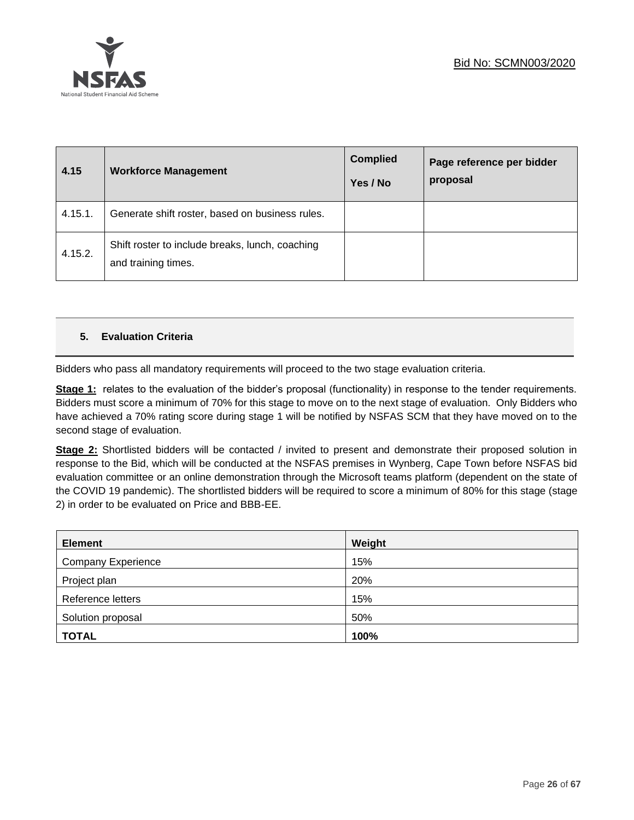

| 4.15    | <b>Workforce Management</b>                                            | <b>Complied</b><br>Yes / No | Page reference per bidder<br>proposal |
|---------|------------------------------------------------------------------------|-----------------------------|---------------------------------------|
| 4.15.1. | Generate shift roster, based on business rules.                        |                             |                                       |
| 4.15.2. | Shift roster to include breaks, lunch, coaching<br>and training times. |                             |                                       |

# **5. Evaluation Criteria**

Bidders who pass all mandatory requirements will proceed to the two stage evaluation criteria.

**Stage 1:** relates to the evaluation of the bidder's proposal (functionality) in response to the tender requirements. Bidders must score a minimum of 70% for this stage to move on to the next stage of evaluation. Only Bidders who have achieved a 70% rating score during stage 1 will be notified by NSFAS SCM that they have moved on to the second stage of evaluation.

**Stage 2:** Shortlisted bidders will be contacted / invited to present and demonstrate their proposed solution in response to the Bid, which will be conducted at the NSFAS premises in Wynberg, Cape Town before NSFAS bid evaluation committee or an online demonstration through the Microsoft teams platform (dependent on the state of the COVID 19 pandemic). The shortlisted bidders will be required to score a minimum of 80% for this stage (stage 2) in order to be evaluated on Price and BBB-EE.

| <b>Element</b>            | Weight |
|---------------------------|--------|
| <b>Company Experience</b> | 15%    |
| Project plan              | 20%    |
| Reference letters         | 15%    |
| Solution proposal         | 50%    |
| <b>TOTAL</b>              | 100%   |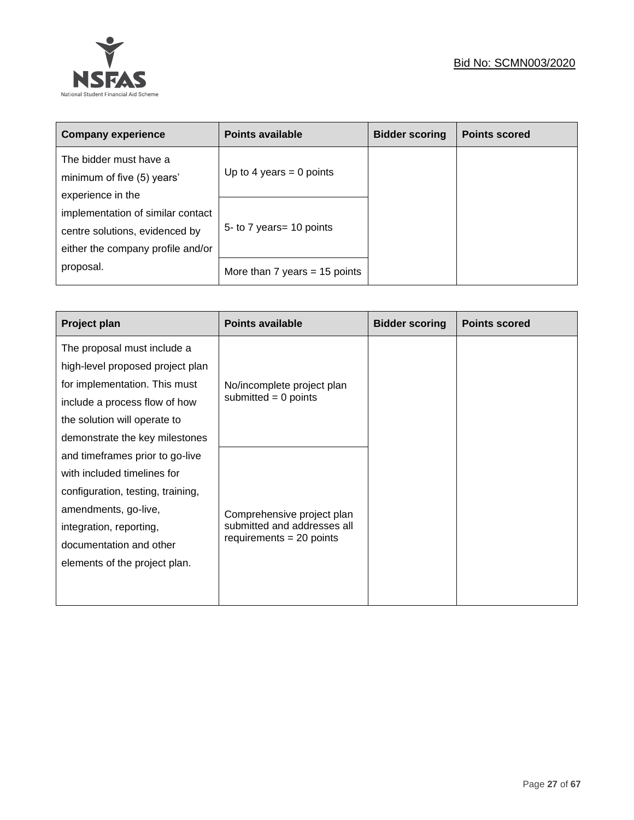

| <b>Company experience</b>                                                                                | <b>Points available</b>         | <b>Bidder scoring</b> | <b>Points scored</b> |
|----------------------------------------------------------------------------------------------------------|---------------------------------|-----------------------|----------------------|
| The bidder must have a<br>minimum of five (5) years'<br>experience in the                                | Up to 4 years = 0 points        |                       |                      |
| implementation of similar contact<br>centre solutions, evidenced by<br>either the company profile and/or | 5- to 7 years = 10 points       |                       |                      |
| proposal.                                                                                                | More than $7$ years = 15 points |                       |                      |

| <b>Project plan</b>               | <b>Points available</b>     | <b>Bidder scoring</b> | <b>Points scored</b> |
|-----------------------------------|-----------------------------|-----------------------|----------------------|
| The proposal must include a       |                             |                       |                      |
| high-level proposed project plan  |                             |                       |                      |
| for implementation. This must     | No/incomplete project plan  |                       |                      |
| include a process flow of how     | submitted $= 0$ points      |                       |                      |
| the solution will operate to      |                             |                       |                      |
| demonstrate the key milestones    |                             |                       |                      |
| and timeframes prior to go-live   |                             |                       |                      |
| with included timelines for       |                             |                       |                      |
| configuration, testing, training, |                             |                       |                      |
| amendments, go-live,              | Comprehensive project plan  |                       |                      |
| integration, reporting,           | submitted and addresses all |                       |                      |
| documentation and other           | requirements $= 20$ points  |                       |                      |
| elements of the project plan.     |                             |                       |                      |
|                                   |                             |                       |                      |
|                                   |                             |                       |                      |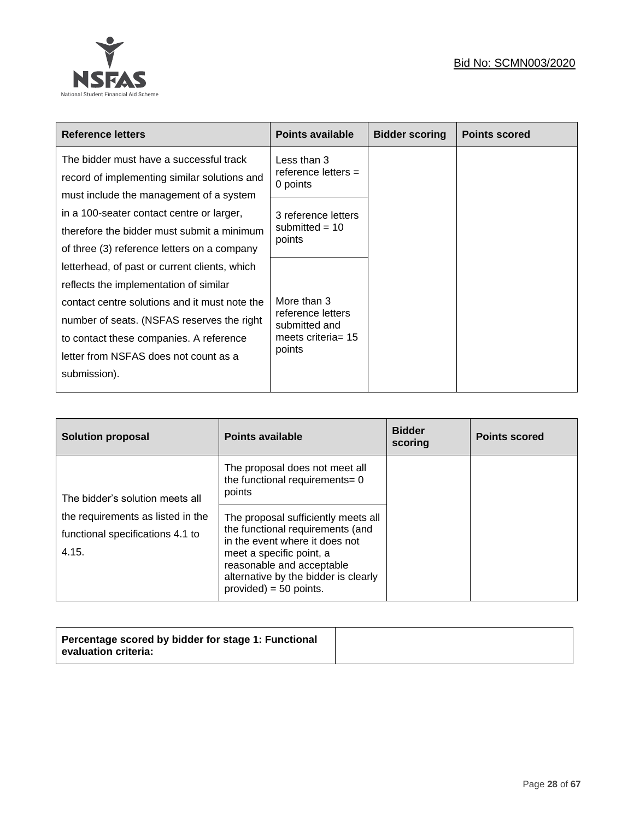

| Reference letters                             | <b>Points available</b>            | <b>Bidder scoring</b> | <b>Points scored</b> |
|-----------------------------------------------|------------------------------------|-----------------------|----------------------|
| The bidder must have a successful track       | Less than 3                        |                       |                      |
| record of implementing similar solutions and  | reference letters $=$<br>0 points  |                       |                      |
| must include the management of a system       |                                    |                       |                      |
| in a 100-seater contact centre or larger,     | 3 reference letters                |                       |                      |
| therefore the bidder must submit a minimum    | submitted = $10$<br>points         |                       |                      |
| of three (3) reference letters on a company   |                                    |                       |                      |
| letterhead, of past or current clients, which |                                    |                       |                      |
| reflects the implementation of similar        |                                    |                       |                      |
| contact centre solutions and it must note the | More than 3                        |                       |                      |
| number of seats. (NSFAS reserves the right    | reference letters<br>submitted and |                       |                      |
| to contact these companies. A reference       | meets criteria = $15$              |                       |                      |
| letter from NSFAS does not count as a         | points                             |                       |                      |
| submission).                                  |                                    |                       |                      |
|                                               |                                    |                       |                      |

| <b>Solution proposal</b>                                                       | <b>Points available</b>                                                                                                                                                                                                                | <b>Bidder</b><br>scoring | <b>Points scored</b> |
|--------------------------------------------------------------------------------|----------------------------------------------------------------------------------------------------------------------------------------------------------------------------------------------------------------------------------------|--------------------------|----------------------|
| The bidder's solution meets all                                                | The proposal does not meet all<br>the functional requirements= 0<br>points                                                                                                                                                             |                          |                      |
| the requirements as listed in the<br>functional specifications 4.1 to<br>4.15. | The proposal sufficiently meets all<br>the functional requirements (and<br>in the event where it does not<br>meet a specific point, a<br>reasonable and acceptable<br>alternative by the bidder is clearly<br>$provided) = 50 points.$ |                          |                      |

|--|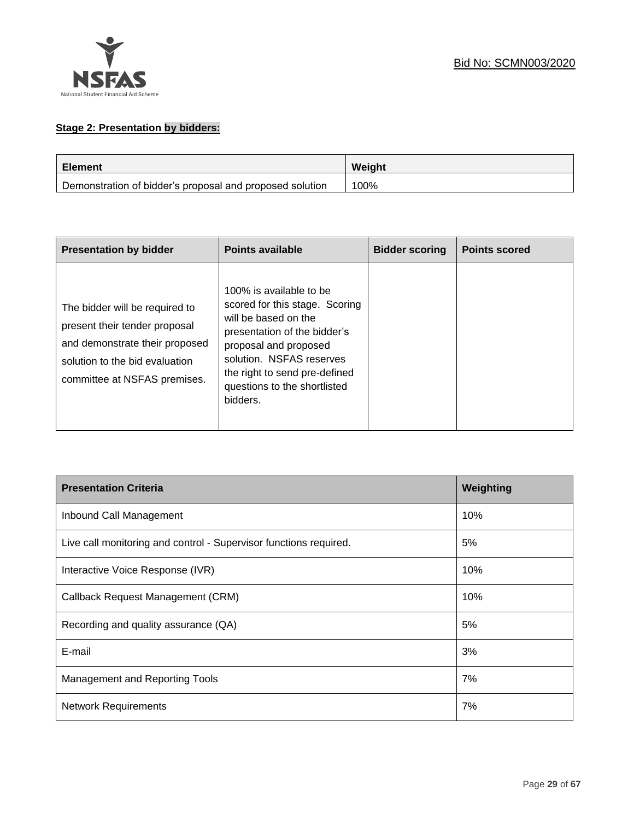

# **Stage 2: Presentation by bidders:**

| <b>Element</b>                                           | Weight |
|----------------------------------------------------------|--------|
| Demonstration of bidder's proposal and proposed solution | 100%   |

| <b>Presentation by bidder</b>                                                                                                                                       | <b>Points available</b>                                                                                                                                                                                                                             | <b>Bidder scoring</b> | <b>Points scored</b> |
|---------------------------------------------------------------------------------------------------------------------------------------------------------------------|-----------------------------------------------------------------------------------------------------------------------------------------------------------------------------------------------------------------------------------------------------|-----------------------|----------------------|
| The bidder will be required to<br>present their tender proposal<br>and demonstrate their proposed<br>solution to the bid evaluation<br>committee at NSFAS premises. | 100% is available to be<br>scored for this stage. Scoring<br>will be based on the<br>presentation of the bidder's<br>proposal and proposed<br>solution. NSFAS reserves<br>the right to send pre-defined<br>questions to the shortlisted<br>bidders. |                       |                      |

| <b>Presentation Criteria</b>                                      | Weighting |
|-------------------------------------------------------------------|-----------|
| Inbound Call Management                                           | 10%       |
| Live call monitoring and control - Supervisor functions required. | 5%        |
| Interactive Voice Response (IVR)                                  | 10%       |
| Callback Request Management (CRM)                                 | 10%       |
| Recording and quality assurance (QA)                              | 5%        |
| E-mail                                                            | 3%        |
| <b>Management and Reporting Tools</b>                             | 7%        |
| <b>Network Requirements</b>                                       | 7%        |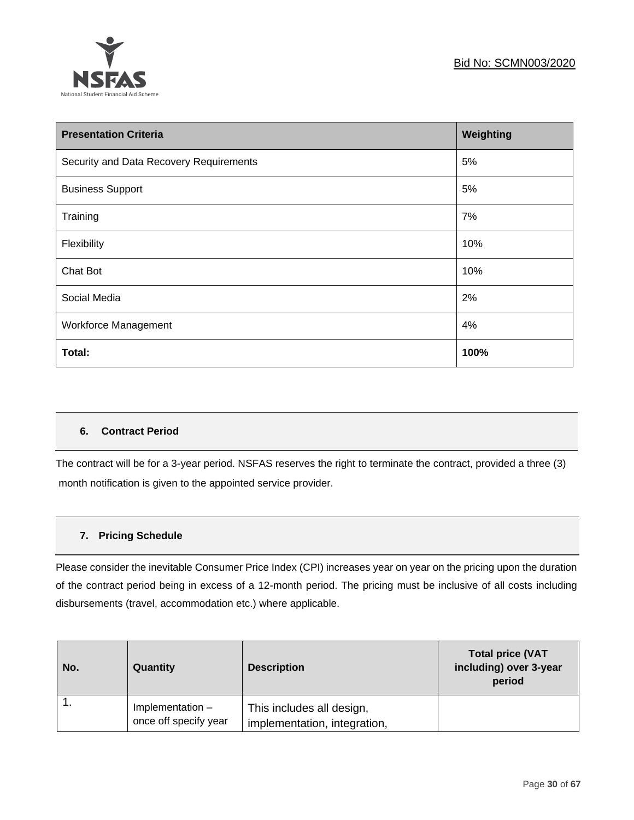

| <b>Presentation Criteria</b>            | Weighting |
|-----------------------------------------|-----------|
| Security and Data Recovery Requirements | 5%        |
| <b>Business Support</b>                 | 5%        |
| Training                                | 7%        |
| Flexibility                             | 10%       |
| Chat Bot                                | 10%       |
| Social Media                            | 2%        |
| <b>Workforce Management</b>             | 4%        |
| Total:                                  | 100%      |

# **6. Contract Period**

The contract will be for a 3-year period. NSFAS reserves the right to terminate the contract, provided a three (3) month notification is given to the appointed service provider.

# **7. Pricing Schedule**

Please consider the inevitable Consumer Price Index (CPI) increases year on year on the pricing upon the duration of the contract period being in excess of a 12-month period. The pricing must be inclusive of all costs including disbursements (travel, accommodation etc.) where applicable.

| No. | Quantity                                  | <b>Description</b>                                        | <b>Total price (VAT</b><br>including) over 3-year<br>period |
|-----|-------------------------------------------|-----------------------------------------------------------|-------------------------------------------------------------|
|     | Implementation -<br>once off specify year | This includes all design,<br>implementation, integration, |                                                             |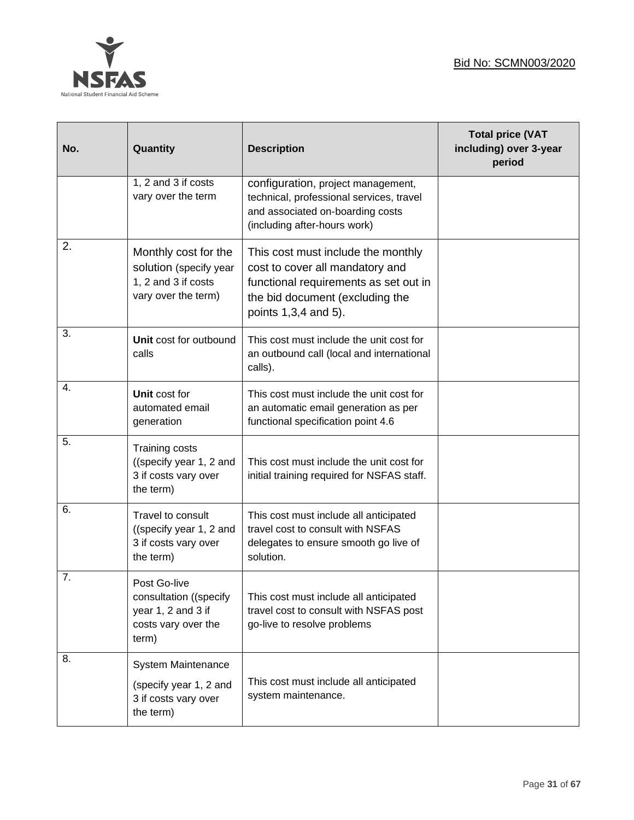

| No. | Quantity                                                                                     | <b>Description</b>                                                                                                                                                        | <b>Total price (VAT</b><br>including) over 3-year<br>period |
|-----|----------------------------------------------------------------------------------------------|---------------------------------------------------------------------------------------------------------------------------------------------------------------------------|-------------------------------------------------------------|
|     | 1, 2 and 3 if costs<br>vary over the term                                                    | configuration, project management,<br>technical, professional services, travel<br>and associated on-boarding costs<br>(including after-hours work)                        |                                                             |
| 2.  | Monthly cost for the<br>solution (specify year<br>1, 2 and 3 if costs<br>vary over the term) | This cost must include the monthly<br>cost to cover all mandatory and<br>functional requirements as set out in<br>the bid document (excluding the<br>points 1,3,4 and 5). |                                                             |
| 3.  | Unit cost for outbound<br>calls                                                              | This cost must include the unit cost for<br>an outbound call (local and international<br>calls).                                                                          |                                                             |
| 4.  | Unit cost for<br>automated email<br>generation                                               | This cost must include the unit cost for<br>an automatic email generation as per<br>functional specification point 4.6                                                    |                                                             |
| 5.  | Training costs<br>((specify year 1, 2 and<br>3 if costs vary over<br>the term)               | This cost must include the unit cost for<br>initial training required for NSFAS staff.                                                                                    |                                                             |
| 6.  | Travel to consult<br>((specify year 1, 2 and<br>3 if costs vary over<br>the term)            | This cost must include all anticipated<br>travel cost to consult with NSFAS<br>delegates to ensure smooth go live of<br>solution.                                         |                                                             |
| 7.  | Post Go-live<br>consultation ((specify<br>year 1, 2 and 3 if<br>costs vary over the<br>term) | This cost must include all anticipated<br>travel cost to consult with NSFAS post<br>go-live to resolve problems                                                           |                                                             |
| 8.  | System Maintenance<br>(specify year 1, 2 and<br>3 if costs vary over<br>the term)            | This cost must include all anticipated<br>system maintenance.                                                                                                             |                                                             |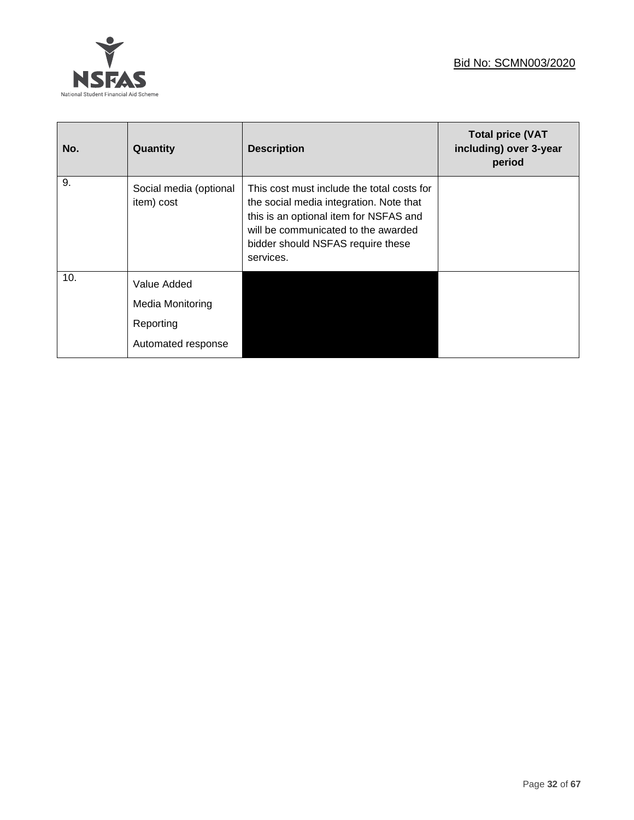

| No. | Quantity                                                           | <b>Description</b>                                                                                                                                                                                                       | <b>Total price (VAT</b><br>including) over 3-year<br>period |
|-----|--------------------------------------------------------------------|--------------------------------------------------------------------------------------------------------------------------------------------------------------------------------------------------------------------------|-------------------------------------------------------------|
| 9.  | Social media (optional<br>item) cost                               | This cost must include the total costs for<br>the social media integration. Note that<br>this is an optional item for NSFAS and<br>will be communicated to the awarded<br>bidder should NSFAS require these<br>services. |                                                             |
| 10. | Value Added<br>Media Monitoring<br>Reporting<br>Automated response |                                                                                                                                                                                                                          |                                                             |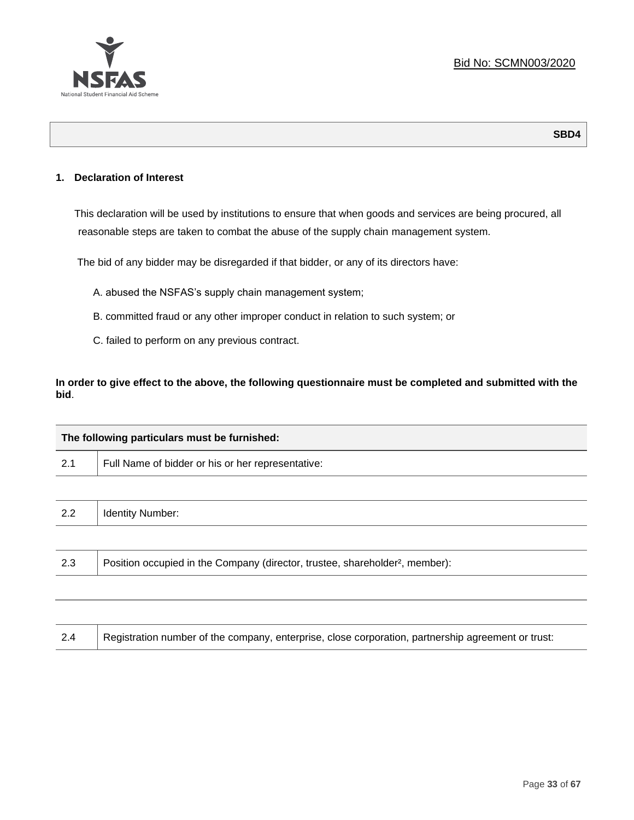

## **1. Declaration of Interest**

This declaration will be used by institutions to ensure that when goods and services are being procured, all reasonable steps are taken to combat the abuse of the supply chain management system.

The bid of any bidder may be disregarded if that bidder, or any of its directors have:

- A. abused the NSFAS's supply chain management system;
- B. committed fraud or any other improper conduct in relation to such system; or
- C. failed to perform on any previous contract.

**In order to give effect to the above, the following questionnaire must be completed and submitted with the bid**.

| The following particulars must be furnished: |                                                                                          |
|----------------------------------------------|------------------------------------------------------------------------------------------|
| 2.1                                          | Full Name of bidder or his or her representative:                                        |
|                                              |                                                                                          |
| 2.2                                          | <b>Identity Number:</b>                                                                  |
|                                              |                                                                                          |
| 2.3                                          | Position occupied in the Company (director, trustee, shareholder <sup>2</sup> , member): |
|                                              |                                                                                          |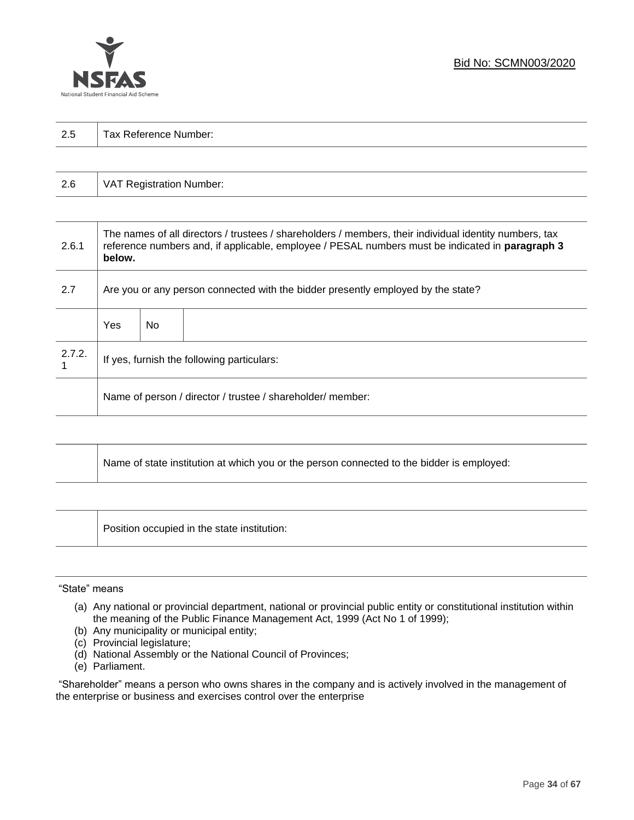

| っょ<br>ن ک | $\overline{\phantom{0}}$<br>-<br>Tax Reference<br>Number: |
|-----------|-----------------------------------------------------------|
|           |                                                           |

| 2.6 | VAT Registration Number: |
|-----|--------------------------|
|-----|--------------------------|

| 2.6.1  | The names of all directors / trustees / shareholders / members, their individual identity numbers, tax<br>reference numbers and, if applicable, employee / PESAL numbers must be indicated in paragraph 3<br>below. |     |  |  |
|--------|---------------------------------------------------------------------------------------------------------------------------------------------------------------------------------------------------------------------|-----|--|--|
| 2.7    | Are you or any person connected with the bidder presently employed by the state?                                                                                                                                    |     |  |  |
|        | Yes                                                                                                                                                                                                                 | No. |  |  |
| 2.7.2. | If yes, furnish the following particulars:                                                                                                                                                                          |     |  |  |
|        | Name of person / director / trustee / shareholder/ member:                                                                                                                                                          |     |  |  |

| Name of state institution at which you or the person connected to the bidder is employed: |
|-------------------------------------------------------------------------------------------|
|                                                                                           |

Position occupied in the state institution:

### "State" means

┱

- (a) Any national or provincial department, national or provincial public entity or constitutional institution within the meaning of the Public Finance Management Act, 1999 (Act No 1 of 1999);
- (b) Any municipality or municipal entity;
- (c) Provincial legislature;
- (d) National Assembly or the National Council of Provinces;
- (e) Parliament.

"Shareholder" means a person who owns shares in the company and is actively involved in the management of the enterprise or business and exercises control over the enterprise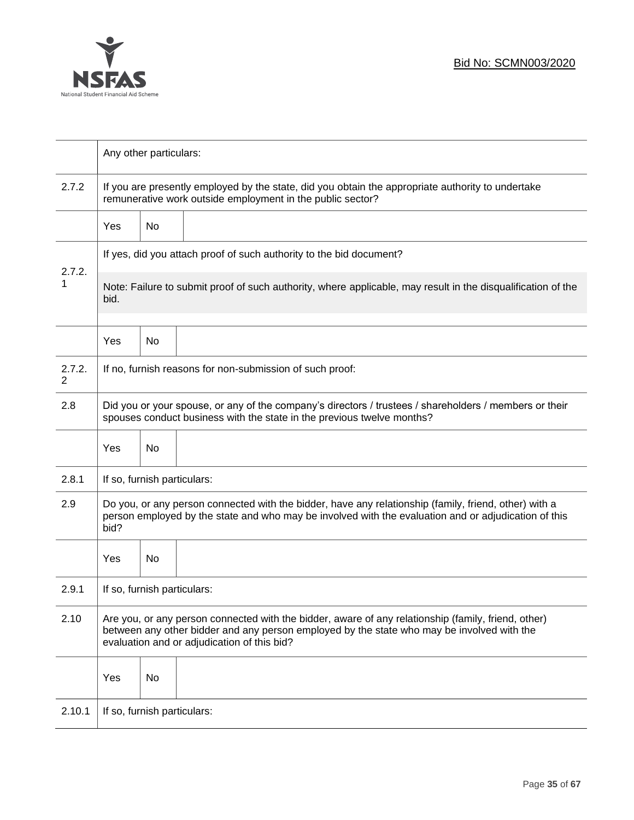

|             | Any other particulars:                                                                                                                                                                                                                           |    |                                                                     |  |  |
|-------------|--------------------------------------------------------------------------------------------------------------------------------------------------------------------------------------------------------------------------------------------------|----|---------------------------------------------------------------------|--|--|
| 2.7.2       | If you are presently employed by the state, did you obtain the appropriate authority to undertake<br>remunerative work outside employment in the public sector?                                                                                  |    |                                                                     |  |  |
|             | Yes                                                                                                                                                                                                                                              | No |                                                                     |  |  |
|             |                                                                                                                                                                                                                                                  |    | If yes, did you attach proof of such authority to the bid document? |  |  |
| 2.7.2.<br>1 | Note: Failure to submit proof of such authority, where applicable, may result in the disqualification of the<br>bid.                                                                                                                             |    |                                                                     |  |  |
|             | Yes                                                                                                                                                                                                                                              | No |                                                                     |  |  |
| 2.7.2.<br>2 |                                                                                                                                                                                                                                                  |    | If no, furnish reasons for non-submission of such proof:            |  |  |
| 2.8         | Did you or your spouse, or any of the company's directors / trustees / shareholders / members or their<br>spouses conduct business with the state in the previous twelve months?                                                                 |    |                                                                     |  |  |
|             | Yes                                                                                                                                                                                                                                              | No |                                                                     |  |  |
| 2.8.1       | If so, furnish particulars:                                                                                                                                                                                                                      |    |                                                                     |  |  |
| 2.9         | Do you, or any person connected with the bidder, have any relationship (family, friend, other) with a<br>person employed by the state and who may be involved with the evaluation and or adjudication of this<br>bid?                            |    |                                                                     |  |  |
|             | Yes                                                                                                                                                                                                                                              | No |                                                                     |  |  |
| 2.9.1       | If so, furnish particulars:                                                                                                                                                                                                                      |    |                                                                     |  |  |
| 2.10        | Are you, or any person connected with the bidder, aware of any relationship (family, friend, other)<br>between any other bidder and any person employed by the state who may be involved with the<br>evaluation and or adjudication of this bid? |    |                                                                     |  |  |
|             | Yes                                                                                                                                                                                                                                              | No |                                                                     |  |  |
| 2.10.1      | If so, furnish particulars:                                                                                                                                                                                                                      |    |                                                                     |  |  |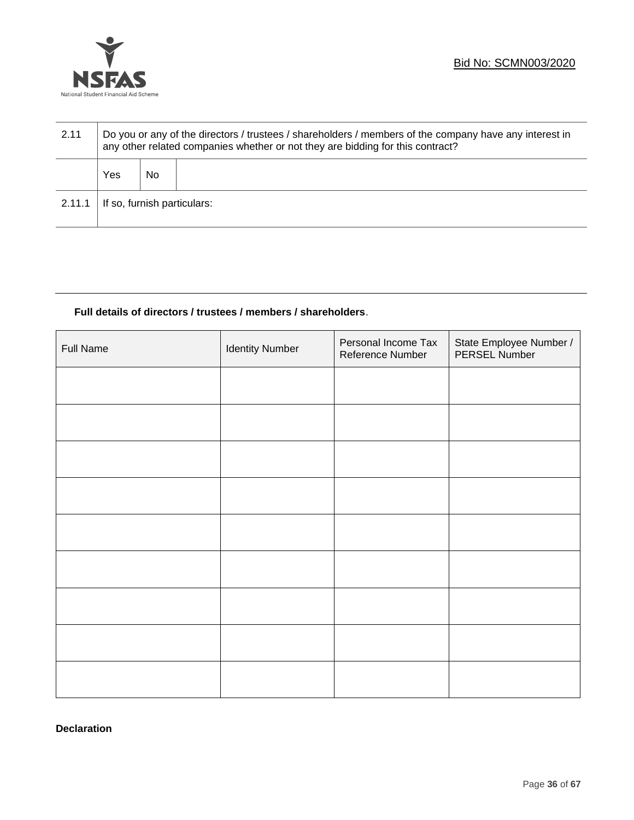

| 2.11   | Do you or any of the directors / trustees / shareholders / members of the company have any interest in<br>any other related companies whether or not they are bidding for this contract? |    |  |  |
|--------|------------------------------------------------------------------------------------------------------------------------------------------------------------------------------------------|----|--|--|
|        | Yes                                                                                                                                                                                      | No |  |  |
| 2.11.1 | If so, furnish particulars:                                                                                                                                                              |    |  |  |

# **Full details of directors / trustees / members / shareholders**.

| Full Name | <b>Identity Number</b> | Personal Income Tax<br>Reference Number | State Employee Number /<br>PERSEL Number |
|-----------|------------------------|-----------------------------------------|------------------------------------------|
|           |                        |                                         |                                          |
|           |                        |                                         |                                          |
|           |                        |                                         |                                          |
|           |                        |                                         |                                          |
|           |                        |                                         |                                          |
|           |                        |                                         |                                          |
|           |                        |                                         |                                          |
|           |                        |                                         |                                          |
|           |                        |                                         |                                          |

**Declaration**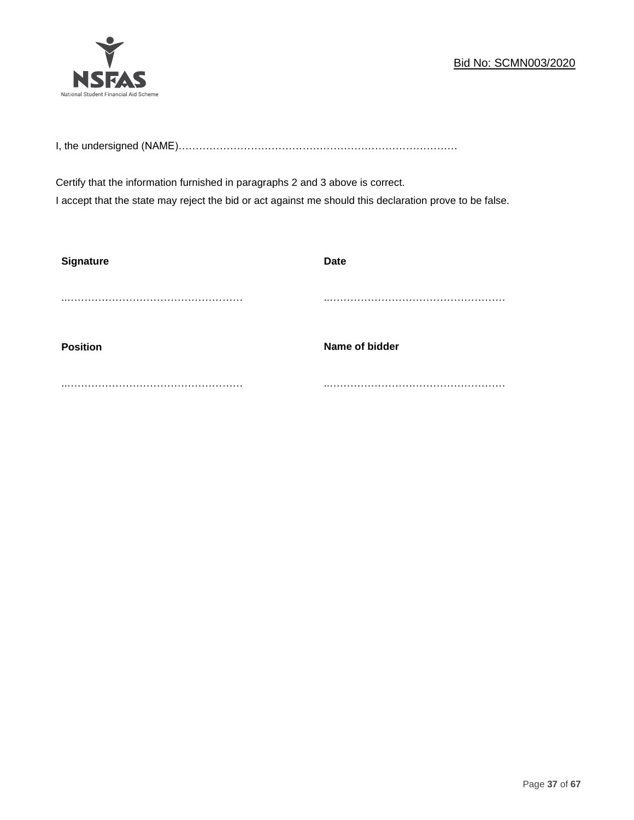# Bid No: SCMN003/2020



I, the undersigned (NAME)………………………………………………………………………

Certify that the information furnished in paragraphs 2 and 3 above is correct. I accept that the state may reject the bid or act against me should this declaration prove to be false.

| <b>Signature</b> | <b>Date</b>    |
|------------------|----------------|
|                  |                |
|                  |                |
|                  |                |
| <b>Position</b>  | Name of bidder |
| .                |                |
|                  |                |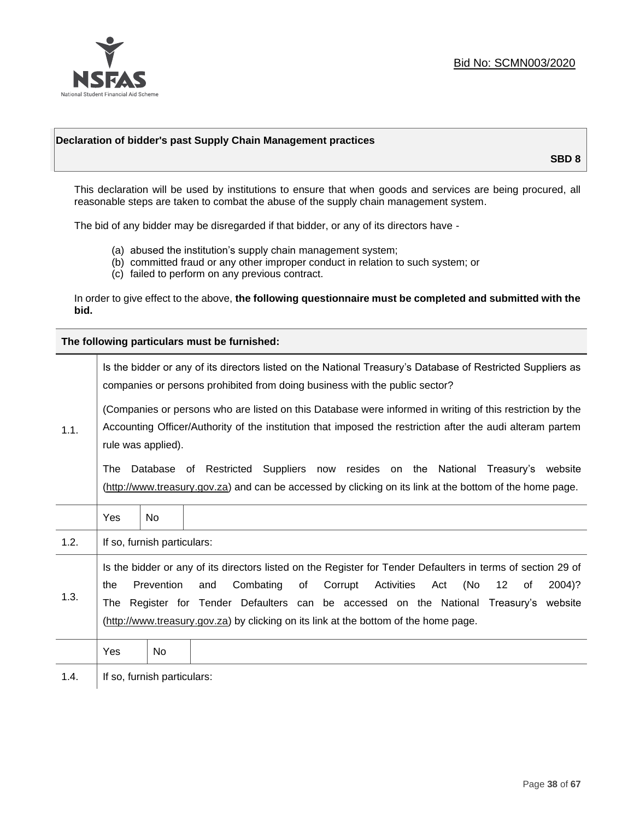

### **Declaration of bidder's past Supply Chain Management practices**

**SBD 8**

This declaration will be used by institutions to ensure that when goods and services are being procured, all reasonable steps are taken to combat the abuse of the supply chain management system.

The bid of any bidder may be disregarded if that bidder, or any of its directors have -

- (a) abused the institution's supply chain management system;
- (b) committed fraud or any other improper conduct in relation to such system; or
- (c) failed to perform on any previous contract.

In order to give effect to the above, **the following questionnaire must be completed and submitted with the bid.**

**The following particulars must be furnished:**

|      | Is the bidder or any of its directors listed on the National Treasury's Database of Restricted Suppliers as<br>companies or persons prohibited from doing business with the public sector?                                                    |                             |                                                                                                                                                                                                                                                                                                                                                                                      |  |  |
|------|-----------------------------------------------------------------------------------------------------------------------------------------------------------------------------------------------------------------------------------------------|-----------------------------|--------------------------------------------------------------------------------------------------------------------------------------------------------------------------------------------------------------------------------------------------------------------------------------------------------------------------------------------------------------------------------------|--|--|
| 1.1. | (Companies or persons who are listed on this Database were informed in writing of this restriction by the<br>Accounting Officer/Authority of the institution that imposed the restriction after the audi alteram partem<br>rule was applied). |                             |                                                                                                                                                                                                                                                                                                                                                                                      |  |  |
|      | The                                                                                                                                                                                                                                           |                             | Database of Restricted Suppliers now resides on the National Treasury's website<br>(http://www.treasury.gov.za) and can be accessed by clicking on its link at the bottom of the home page.                                                                                                                                                                                          |  |  |
|      | Yes                                                                                                                                                                                                                                           | <b>No</b>                   |                                                                                                                                                                                                                                                                                                                                                                                      |  |  |
| 1.2. |                                                                                                                                                                                                                                               | If so, furnish particulars: |                                                                                                                                                                                                                                                                                                                                                                                      |  |  |
| 1.3. | the                                                                                                                                                                                                                                           | Prevention                  | Is the bidder or any of its directors listed on the Register for Tender Defaulters in terms of section 29 of<br>Activities<br>(No<br>Combating<br>of<br>Corrupt<br>12<br>2004)?<br>and<br>Act<br>of<br>The Register for Tender Defaulters can be accessed on the National Treasury's website<br>(http://www.treasury.gov.za) by clicking on its link at the bottom of the home page. |  |  |
|      | Yes                                                                                                                                                                                                                                           | No                          |                                                                                                                                                                                                                                                                                                                                                                                      |  |  |
| 1.4. |                                                                                                                                                                                                                                               | If so, furnish particulars: |                                                                                                                                                                                                                                                                                                                                                                                      |  |  |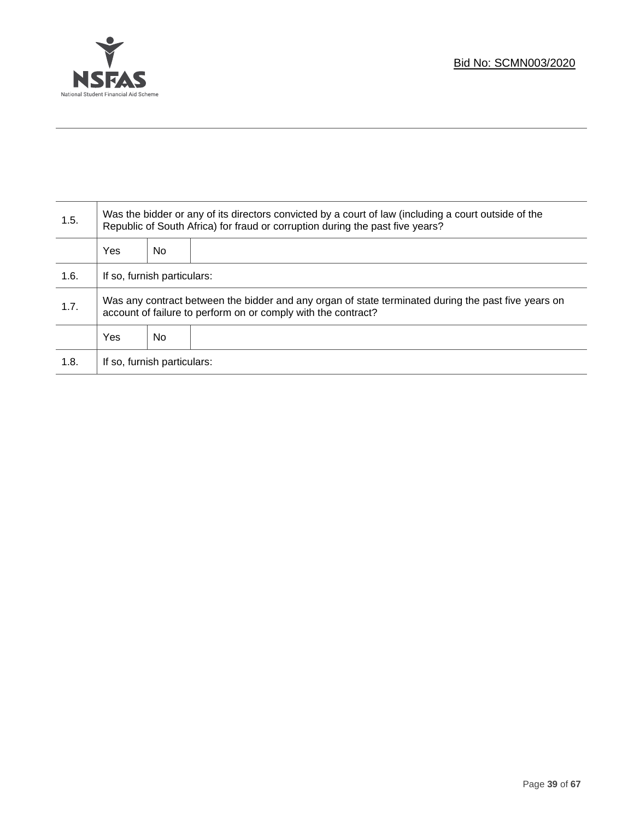

Τ

| 1.5. | Was the bidder or any of its directors convicted by a court of law (including a court outside of the<br>Republic of South Africa) for fraud or corruption during the past five years? |    |  |  |
|------|---------------------------------------------------------------------------------------------------------------------------------------------------------------------------------------|----|--|--|
|      | Yes                                                                                                                                                                                   | No |  |  |
| 1.6. | If so, furnish particulars:                                                                                                                                                           |    |  |  |
| 1.7. | Was any contract between the bidder and any organ of state terminated during the past five years on<br>account of failure to perform on or comply with the contract?                  |    |  |  |
|      | Yes                                                                                                                                                                                   | No |  |  |
| 1.8. | If so, furnish particulars:                                                                                                                                                           |    |  |  |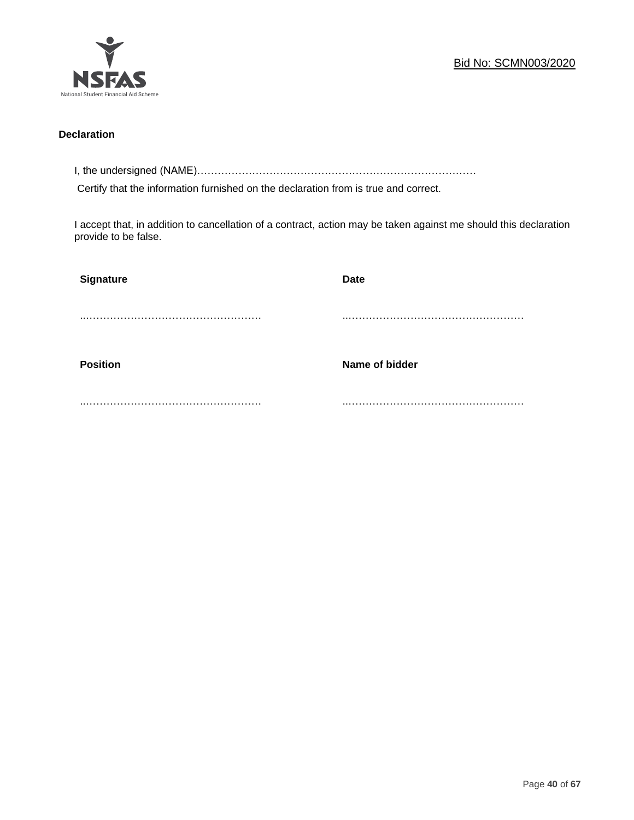

## **Declaration**

I, the undersigned (NAME)………………………………………………………………………

Certify that the information furnished on the declaration from is true and correct.

I accept that, in addition to cancellation of a contract, action may be taken against me should this declaration provide to be false.

| <b>Signature</b> | <b>Date</b>    |
|------------------|----------------|
|                  |                |
|                  |                |
| <b>Position</b>  | Name of bidder |
|                  |                |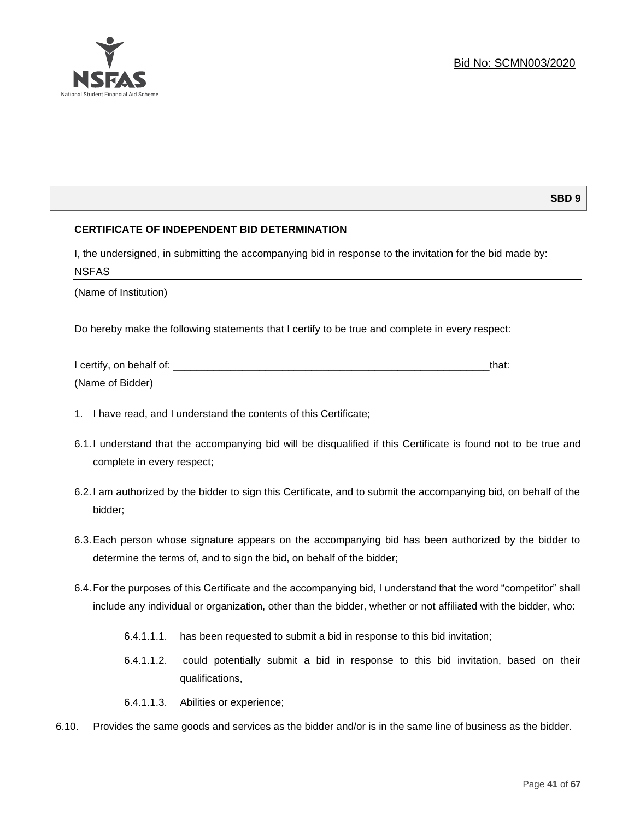

# **SBD 9**

# **CERTIFICATE OF INDEPENDENT BID DETERMINATION**

I, the undersigned, in submitting the accompanying bid in response to the invitation for the bid made by: NSFAS

(Name of Institution)

Do hereby make the following statements that I certify to be true and complete in every respect:

| I certify, on behalf of: |  |
|--------------------------|--|
| (Name of Bidder)         |  |

- 1. I have read, and I understand the contents of this Certificate;
- 6.1.I understand that the accompanying bid will be disqualified if this Certificate is found not to be true and complete in every respect;
- 6.2.I am authorized by the bidder to sign this Certificate, and to submit the accompanying bid, on behalf of the bidder;
- 6.3.Each person whose signature appears on the accompanying bid has been authorized by the bidder to determine the terms of, and to sign the bid, on behalf of the bidder;
- 6.4.For the purposes of this Certificate and the accompanying bid, I understand that the word "competitor" shall include any individual or organization, other than the bidder, whether or not affiliated with the bidder, who:
	- 6.4.1.1.1. has been requested to submit a bid in response to this bid invitation;
	- 6.4.1.1.2. could potentially submit a bid in response to this bid invitation, based on their qualifications,
	- 6.4.1.1.3. Abilities or experience;
- 6.10. Provides the same goods and services as the bidder and/or is in the same line of business as the bidder.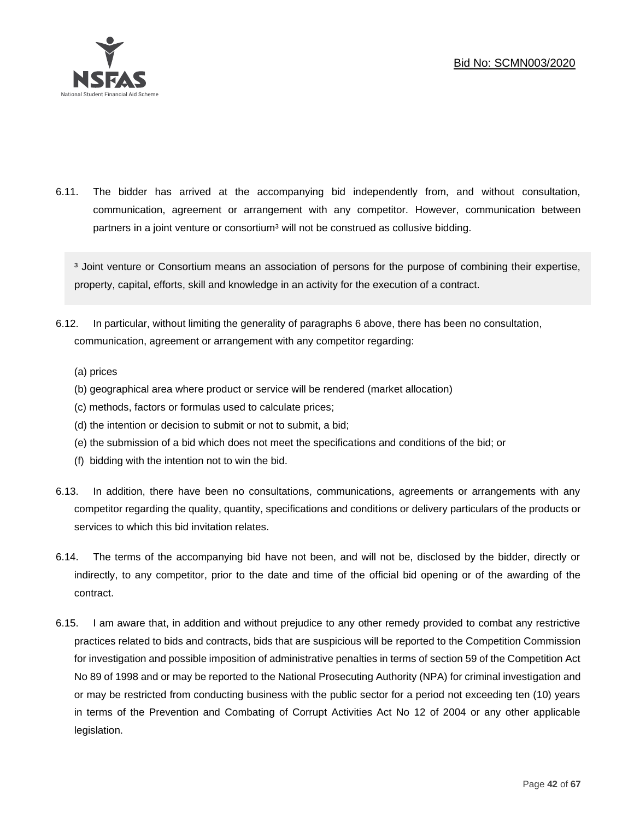

6.11. The bidder has arrived at the accompanying bid independently from, and without consultation, communication, agreement or arrangement with any competitor. However, communication between partners in a joint venture or consortium<sup>3</sup> will not be construed as collusive bidding.

<sup>3</sup> Joint venture or Consortium means an association of persons for the purpose of combining their expertise, property, capital, efforts, skill and knowledge in an activity for the execution of a contract.

- 6.12. In particular, without limiting the generality of paragraphs 6 above, there has been no consultation, communication, agreement or arrangement with any competitor regarding:
	- (a) prices
	- (b) geographical area where product or service will be rendered (market allocation)
	- (c) methods, factors or formulas used to calculate prices;
	- (d) the intention or decision to submit or not to submit, a bid;
	- (e) the submission of a bid which does not meet the specifications and conditions of the bid; or
	- (f) bidding with the intention not to win the bid.
- 6.13. In addition, there have been no consultations, communications, agreements or arrangements with any competitor regarding the quality, quantity, specifications and conditions or delivery particulars of the products or services to which this bid invitation relates.
- 6.14. The terms of the accompanying bid have not been, and will not be, disclosed by the bidder, directly or indirectly, to any competitor, prior to the date and time of the official bid opening or of the awarding of the contract.
- 6.15. I am aware that, in addition and without prejudice to any other remedy provided to combat any restrictive practices related to bids and contracts, bids that are suspicious will be reported to the Competition Commission for investigation and possible imposition of administrative penalties in terms of section 59 of the Competition Act No 89 of 1998 and or may be reported to the National Prosecuting Authority (NPA) for criminal investigation and or may be restricted from conducting business with the public sector for a period not exceeding ten (10) years in terms of the Prevention and Combating of Corrupt Activities Act No 12 of 2004 or any other applicable legislation.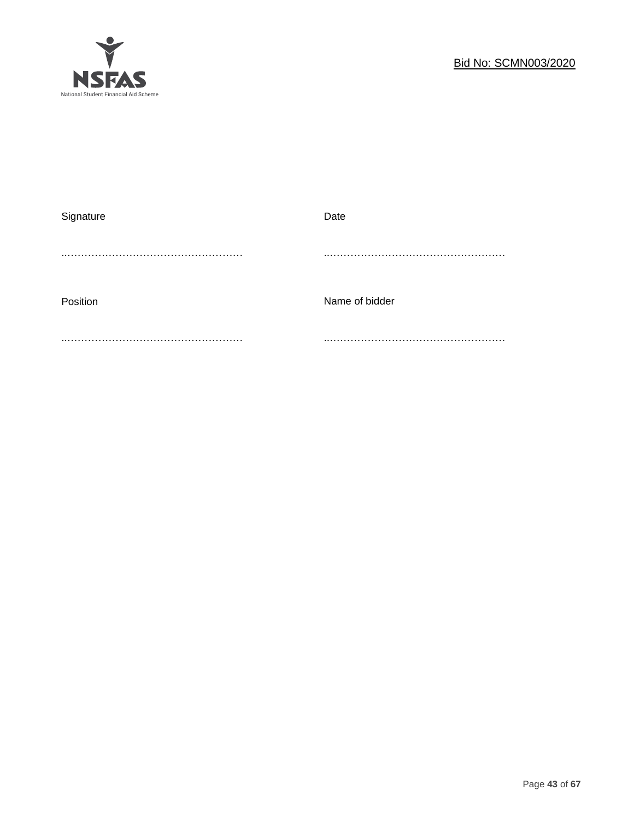

| Signature | Date           |
|-----------|----------------|
|           |                |
|           |                |
|           |                |
| Position  | Name of bidder |
|           |                |
|           |                |
|           |                |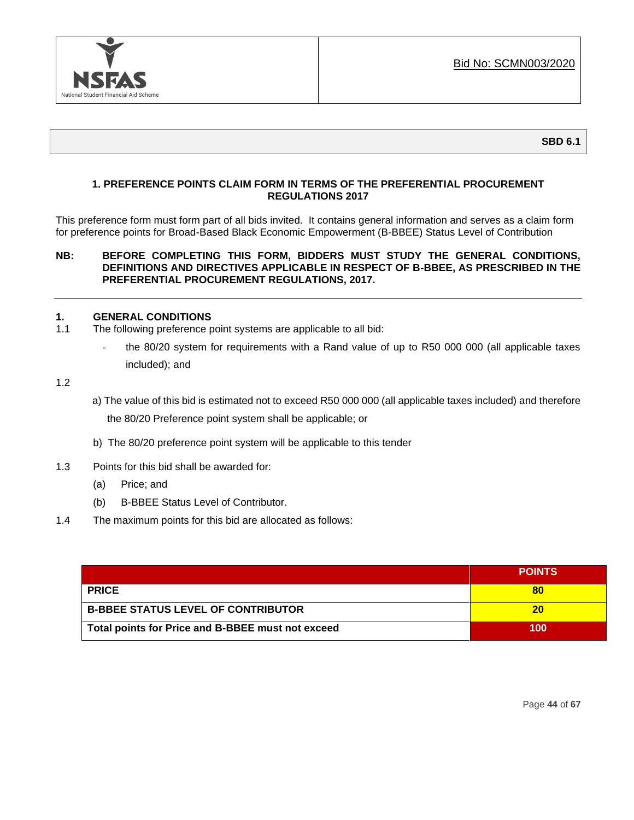

# **1. PREFERENCE POINTS CLAIM FORM IN TERMS OF THE PREFERENTIAL PROCUREMENT REGULATIONS 2017**

This preference form must form part of all bids invited. It contains general information and serves as a claim form for preference points for Broad-Based Black Economic Empowerment (B-BBEE) Status Level of Contribution

### **NB: BEFORE COMPLETING THIS FORM, BIDDERS MUST STUDY THE GENERAL CONDITIONS, DEFINITIONS AND DIRECTIVES APPLICABLE IN RESPECT OF B-BBEE, AS PRESCRIBED IN THE PREFERENTIAL PROCUREMENT REGULATIONS, 2017.**

### **1. GENERAL CONDITIONS**

- 1.1 The following preference point systems are applicable to all bid:
	- the 80/20 system for requirements with a Rand value of up to R50 000 000 (all applicable taxes included); and
- 1.2
- a) The value of this bid is estimated not to exceed R50 000 000 (all applicable taxes included) and therefore the 80/20 Preference point system shall be applicable; or
- b) The 80/20 preference point system will be applicable to this tender
- 1.3 Points for this bid shall be awarded for:
	- (a) Price; and
	- (b) B-BBEE Status Level of Contributor.
- 1.4 The maximum points for this bid are allocated as follows:

|                                                   | <b>POINTS</b> |
|---------------------------------------------------|---------------|
| <b>PRICE</b>                                      |               |
| <b>B-BBEE STATUS LEVEL OF CONTRIBUTOR</b>         | 20            |
| Total points for Price and B-BBEE must not exceed | 100           |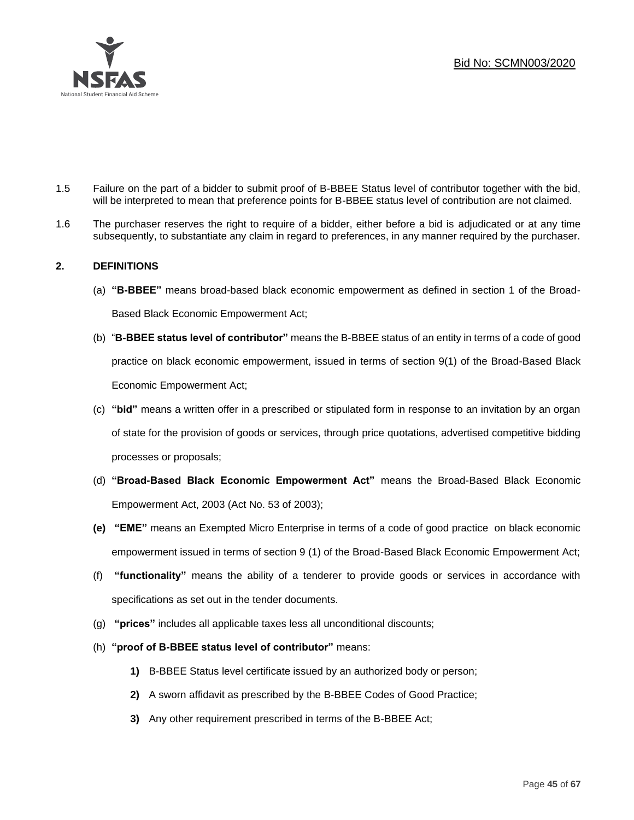

- 1.5 Failure on the part of a bidder to submit proof of B-BBEE Status level of contributor together with the bid, will be interpreted to mean that preference points for B-BBEE status level of contribution are not claimed.
- 1.6 The purchaser reserves the right to require of a bidder, either before a bid is adjudicated or at any time subsequently, to substantiate any claim in regard to preferences, in any manner required by the purchaser.

# **2. DEFINITIONS**

- (a) **"B-BBEE"** means broad-based black economic empowerment as defined in section 1 of the Broad-Based Black Economic Empowerment Act;
- (b) "**B-BBEE status level of contributor"** means the B-BBEE status of an entity in terms of a code of good practice on black economic empowerment, issued in terms of section 9(1) of the Broad-Based Black Economic Empowerment Act;
- (c) **"bid"** means a written offer in a prescribed or stipulated form in response to an invitation by an organ of state for the provision of goods or services, through price quotations, advertised competitive bidding processes or proposals;
- (d) **"Broad-Based Black Economic Empowerment Act"** means the Broad-Based Black Economic Empowerment Act, 2003 (Act No. 53 of 2003);
- **(e) "EME"** means an Exempted Micro Enterprise in terms of a code of good practice on black economic empowerment issued in terms of section 9 (1) of the Broad-Based Black Economic Empowerment Act;
- (f) **"functionality"** means the ability of a tenderer to provide goods or services in accordance with specifications as set out in the tender documents.
- (g) **"prices"** includes all applicable taxes less all unconditional discounts;
- (h) **"proof of B-BBEE status level of contributor"** means:
	- **1)** B-BBEE Status level certificate issued by an authorized body or person;
	- **2)** A sworn affidavit as prescribed by the B-BBEE Codes of Good Practice;
	- **3)** Any other requirement prescribed in terms of the B-BBEE Act;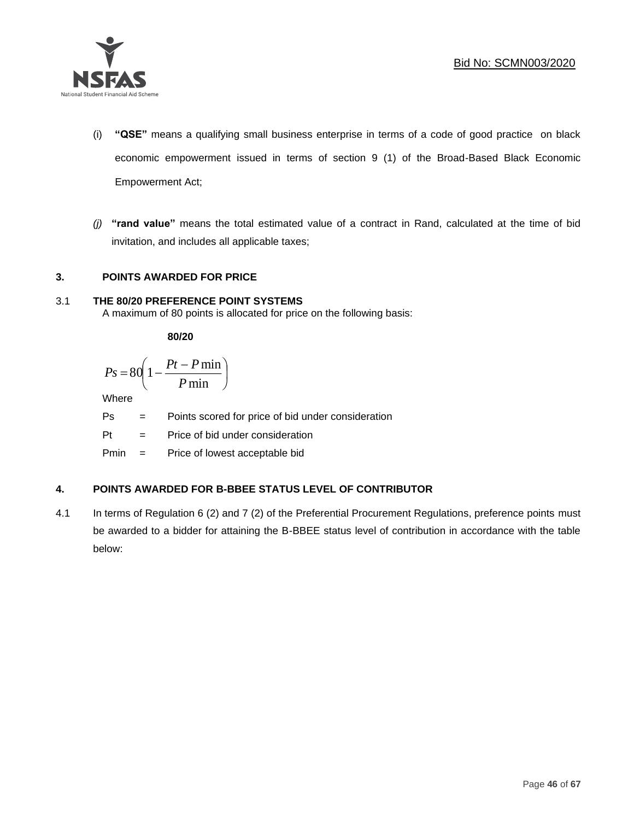

- (i) **"QSE"** means a qualifying small business enterprise in terms of a code of good practice on black economic empowerment issued in terms of section 9 (1) of the Broad-Based Black Economic Empowerment Act;
- *(j)* **"rand value"** means the total estimated value of a contract in Rand, calculated at the time of bid invitation, and includes all applicable taxes;

# **3. POINTS AWARDED FOR PRICE**

# 3.1 **THE 80/20 PREFERENCE POINT SYSTEMS**

A maximum of 80 points is allocated for price on the following basis:

**80/20**

$$
Ps = 80 \left( 1 - \frac{Pt - P \min}{P \min} \right)
$$

Where

- Ps = Points scored for price of bid under consideration
- Pt = Price of bid under consideration

Pmin = Price of lowest acceptable bid

# **4. POINTS AWARDED FOR B-BBEE STATUS LEVEL OF CONTRIBUTOR**

4.1 In terms of Regulation 6 (2) and 7 (2) of the Preferential Procurement Regulations, preference points must be awarded to a bidder for attaining the B-BBEE status level of contribution in accordance with the table below: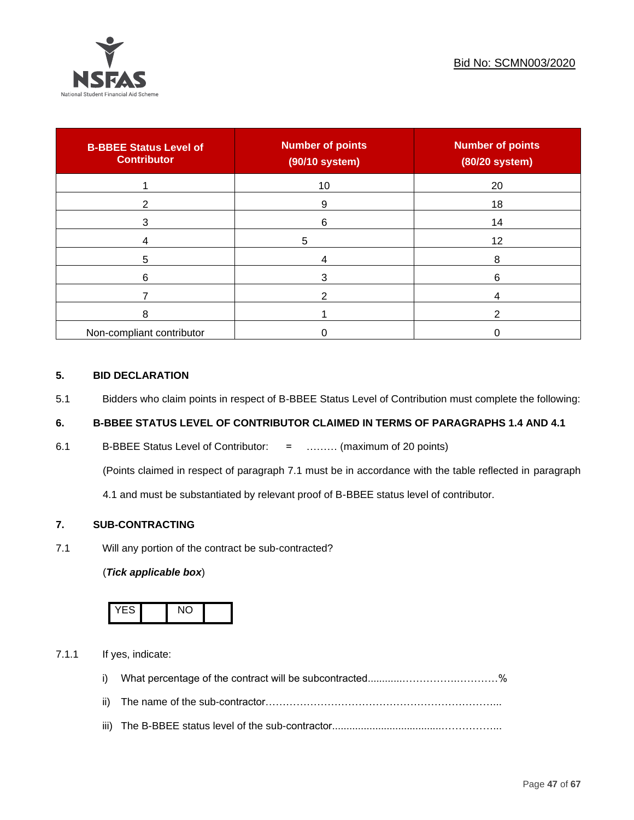

| <b>B-BBEE Status Level of</b><br><b>Contributor</b> | <b>Number of points</b><br>(90/10 system) | <b>Number of points</b><br>(80/20 system) |
|-----------------------------------------------------|-------------------------------------------|-------------------------------------------|
|                                                     | 10                                        | 20                                        |
| າ                                                   | 9                                         | 18                                        |
| 3                                                   | 6                                         | 14                                        |
|                                                     | 5                                         | 12                                        |
| 5                                                   |                                           | 8                                         |
| 6                                                   |                                           | 6                                         |
|                                                     |                                           |                                           |
| 8                                                   |                                           | ົ                                         |
| Non-compliant contributor                           |                                           |                                           |

### **5. BID DECLARATION**

5.1 Bidders who claim points in respect of B-BBEE Status Level of Contribution must complete the following:

# **6. B-BBEE STATUS LEVEL OF CONTRIBUTOR CLAIMED IN TERMS OF PARAGRAPHS 1.4 AND 4.1**

6.1 B-BBEE Status Level of Contributor: = ……… (maximum of 20 points)

(Points claimed in respect of paragraph 7.1 must be in accordance with the table reflected in paragraph

4.1 and must be substantiated by relevant proof of B-BBEE status level of contributor.

# **7. SUB-CONTRACTING**

7.1 Will any portion of the contract be sub-contracted?

# (*Tick applicable box*)



7.1.1 If yes, indicate:

- i) What percentage of the contract will be subcontracted............…………….…………%
- ii) The name of the sub-contractor…………………………………………………………...
- iii) The B-BBEE status level of the sub-contractor......................................……………...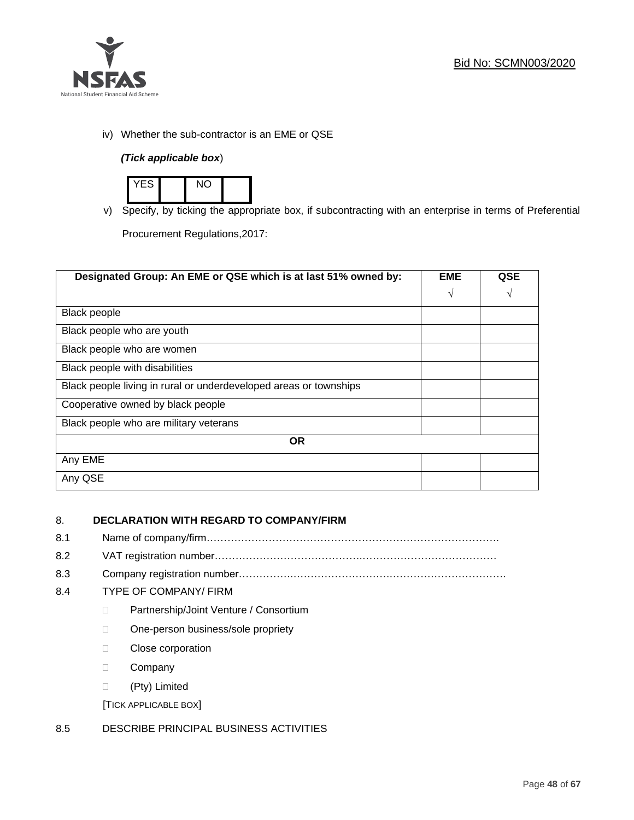

iv) Whether the sub-contractor is an EME or QSE

# *(Tick applicable box*)



v) Specify, by ticking the appropriate box, if subcontracting with an enterprise in terms of Preferential

Procurement Regulations,2017:

| Designated Group: An EME or QSE which is at last 51% owned by:    | <b>EME</b> | <b>QSE</b> |
|-------------------------------------------------------------------|------------|------------|
|                                                                   | $\sqrt{ }$ | V          |
| <b>Black people</b>                                               |            |            |
| Black people who are youth                                        |            |            |
| Black people who are women                                        |            |            |
| Black people with disabilities                                    |            |            |
| Black people living in rural or underdeveloped areas or townships |            |            |
| Cooperative owned by black people                                 |            |            |
| Black people who are military veterans                            |            |            |
| <b>OR</b>                                                         |            |            |
| Any EME                                                           |            |            |
| Any QSE                                                           |            |            |

# 8. **DECLARATION WITH REGARD TO COMPANY/FIRM**

- 8.1 Name of company/firm………………………………………………………………………….
- 8.2 VAT registration number…………………………………….…………………………………
- 8.3 Company registration number…………….……………………….…………………………….

# 8.4 TYPE OF COMPANY/ FIRM

- D Partnership/Joint Venture / Consortium
- □ One-person business/sole propriety
- **Close corporation**
- D Company
- (Pty) Limited

[TICK APPLICABLE BOX]

# 8.5 DESCRIBE PRINCIPAL BUSINESS ACTIVITIES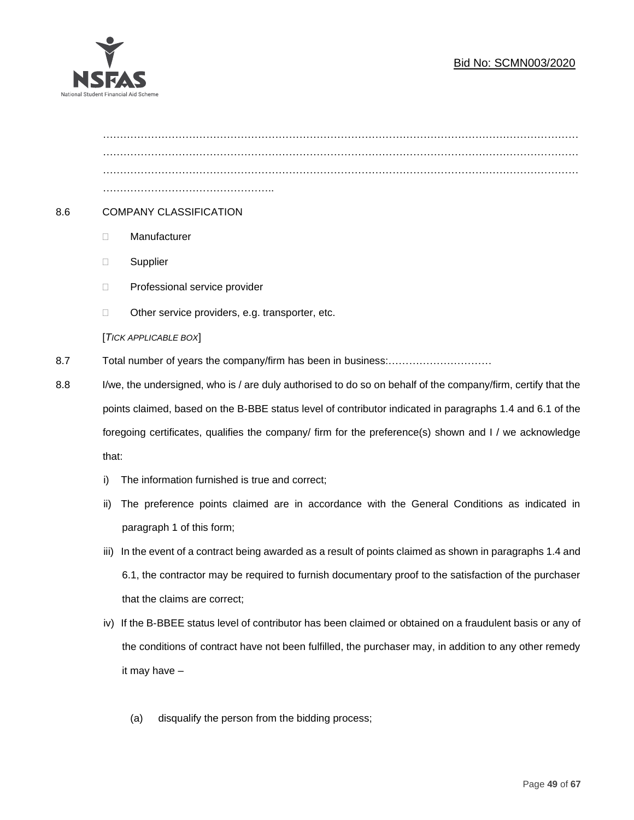# Bid No: SCMN003/2020



………………………………………………………………………………………………………………………… ………………………………………………………………………………………………………………………… ………………………………………….. 8.6 COMPANY CLASSIFICATION Manufacturer **Supplier** □ Professional service provider □ Other service providers, e.g. transporter, etc. [*TICK APPLICABLE BOX*] 8.7 Total number of years the company/firm has been in business:………………………… 8.8 I/we, the undersigned, who is / are duly authorised to do so on behalf of the company/firm, certify that the points claimed, based on the B-BBE status level of contributor indicated in paragraphs 1.4 and 6.1 of the foregoing certificates, qualifies the company/ firm for the preference(s) shown and I / we acknowledge that: i) The information furnished is true and correct;

- ii) The preference points claimed are in accordance with the General Conditions as indicated in paragraph 1 of this form;
- iii) In the event of a contract being awarded as a result of points claimed as shown in paragraphs 1.4 and 6.1, the contractor may be required to furnish documentary proof to the satisfaction of the purchaser that the claims are correct;
- iv) If the B-BBEE status level of contributor has been claimed or obtained on a fraudulent basis or any of the conditions of contract have not been fulfilled, the purchaser may, in addition to any other remedy it may have –
	- (a) disqualify the person from the bidding process;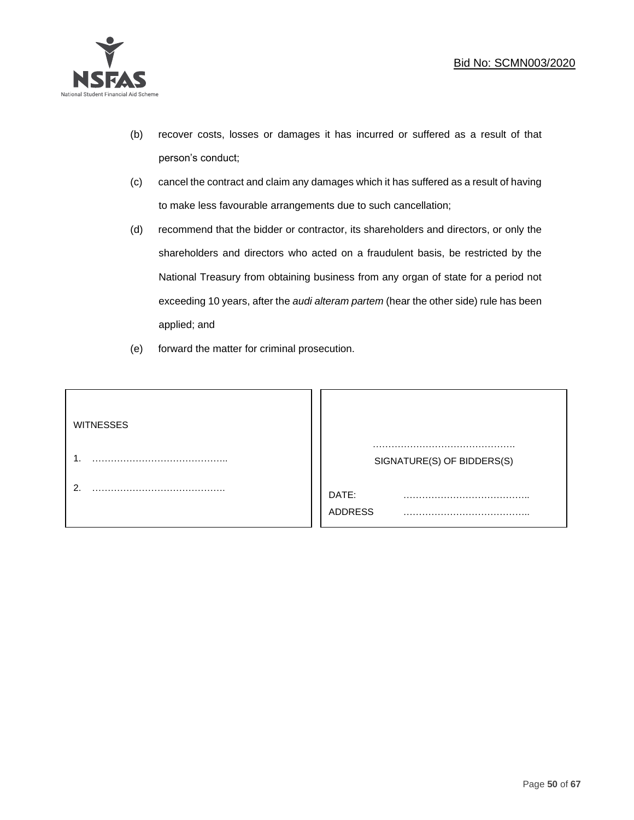

- (b) recover costs, losses or damages it has incurred or suffered as a result of that person's conduct;
- (c) cancel the contract and claim any damages which it has suffered as a result of having to make less favourable arrangements due to such cancellation;
- (d) recommend that the bidder or contractor, its shareholders and directors, or only the shareholders and directors who acted on a fraudulent basis, be restricted by the National Treasury from obtaining business from any organ of state for a period not exceeding 10 years, after the *audi alteram partem* (hear the other side) rule has been applied; and
- (e) forward the matter for criminal prosecution.

| <b>WITNESSES</b> |                              |
|------------------|------------------------------|
|                  | SIGNATURE(S) OF BIDDERS(S)   |
|                  | DATE:<br>.<br><b>ADDRESS</b> |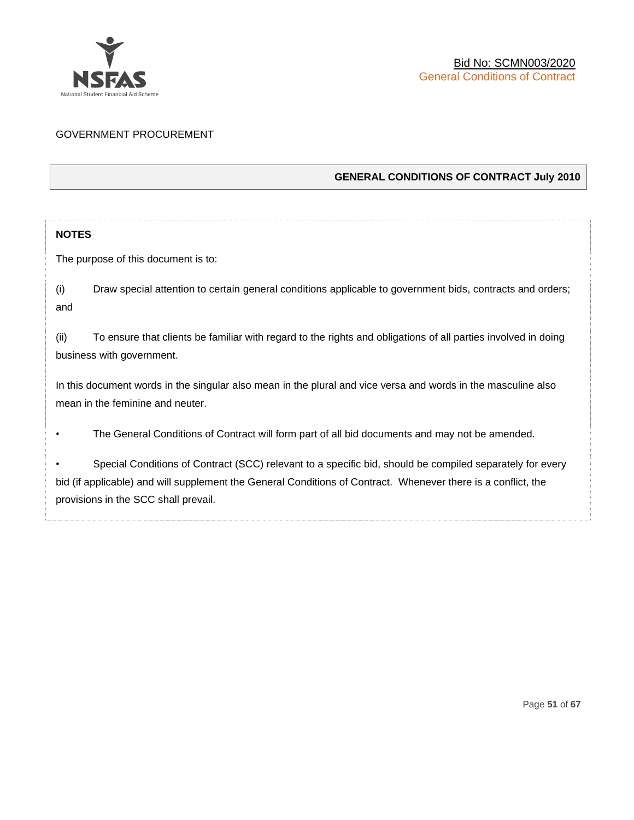

# GOVERNMENT PROCUREMENT

# **GENERAL CONDITIONS OF CONTRACT July 2010**

# **NOTES**

The purpose of this document is to:

(i) Draw special attention to certain general conditions applicable to government bids, contracts and orders; and

(ii) To ensure that clients be familiar with regard to the rights and obligations of all parties involved in doing business with government.

In this document words in the singular also mean in the plural and vice versa and words in the masculine also mean in the feminine and neuter.

• The General Conditions of Contract will form part of all bid documents and may not be amended.

Special Conditions of Contract (SCC) relevant to a specific bid, should be compiled separately for every bid (if applicable) and will supplement the General Conditions of Contract. Whenever there is a conflict, the provisions in the SCC shall prevail.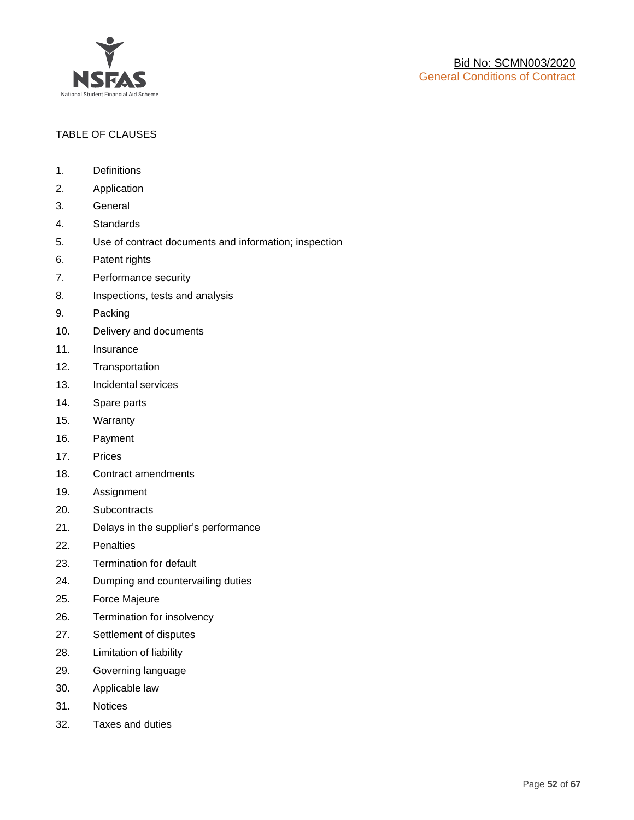

# TABLE OF CLAUSES

- 1. Definitions
- 2. Application
- 3. General
- 4. Standards
- 5. Use of contract documents and information; inspection
- 6. Patent rights
- 7. Performance security
- 8. Inspections, tests and analysis
- 9. Packing
- 10. Delivery and documents
- 11. Insurance
- 12. Transportation
- 13. Incidental services
- 14. Spare parts
- 15. Warranty
- 16. Payment
- 17. Prices
- 18. Contract amendments
- 19. Assignment
- 20. Subcontracts
- 21. Delays in the supplier's performance
- 22. Penalties
- 23. Termination for default
- 24. Dumping and countervailing duties
- 25. Force Majeure
- 26. Termination for insolvency
- 27. Settlement of disputes
- 28. Limitation of liability
- 29. Governing language
- 30. Applicable law
- 31. Notices
- 32. Taxes and duties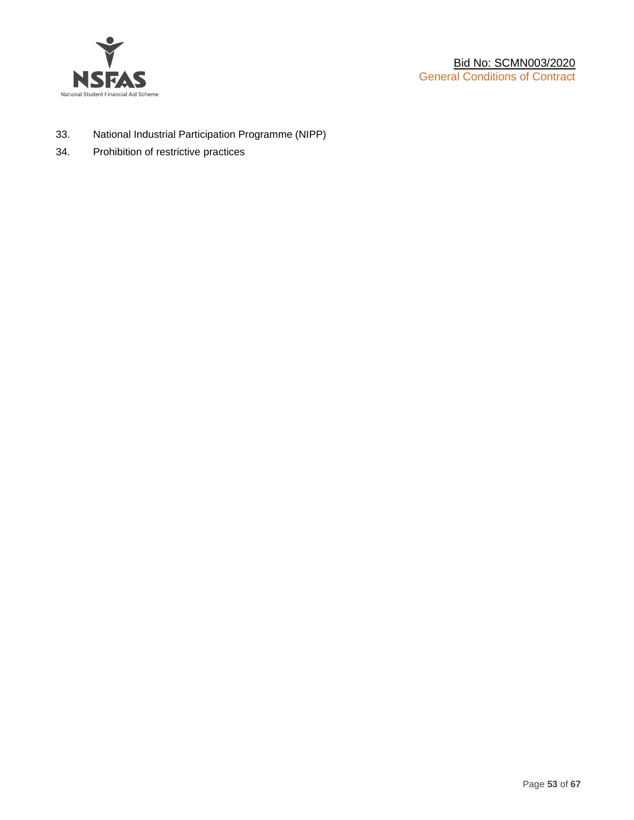

- 33. National Industrial Participation Programme (NIPP)
- 34. Prohibition of restrictive practices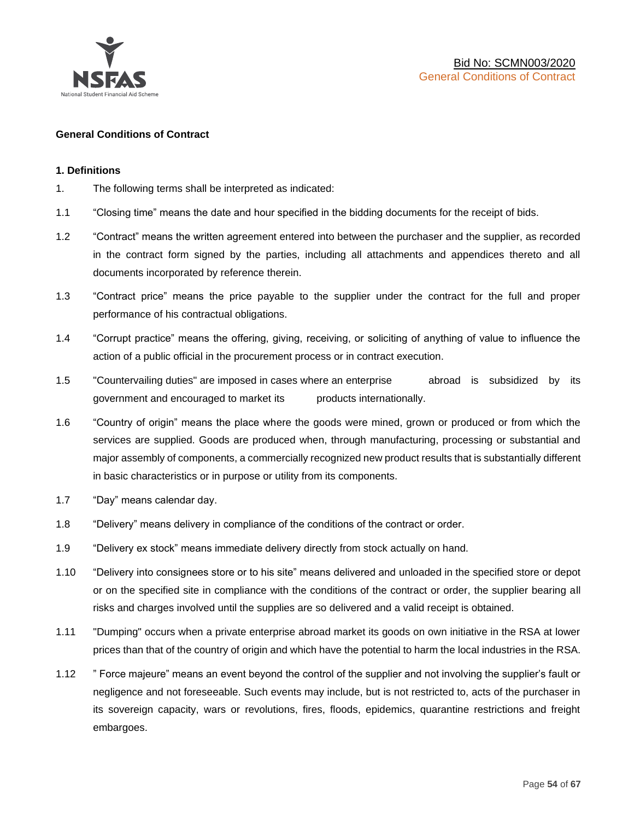

### **General Conditions of Contract**

### **1. Definitions**

- 1. The following terms shall be interpreted as indicated:
- 1.1 "Closing time" means the date and hour specified in the bidding documents for the receipt of bids.
- 1.2 "Contract" means the written agreement entered into between the purchaser and the supplier, as recorded in the contract form signed by the parties, including all attachments and appendices thereto and all documents incorporated by reference therein.
- 1.3 "Contract price" means the price payable to the supplier under the contract for the full and proper performance of his contractual obligations.
- 1.4 "Corrupt practice" means the offering, giving, receiving, or soliciting of anything of value to influence the action of a public official in the procurement process or in contract execution.
- 1.5 "Countervailing duties" are imposed in cases where an enterprise abroad is subsidized by its government and encouraged to market its products internationally.
- 1.6 "Country of origin" means the place where the goods were mined, grown or produced or from which the services are supplied. Goods are produced when, through manufacturing, processing or substantial and major assembly of components, a commercially recognized new product results that is substantially different in basic characteristics or in purpose or utility from its components.
- 1.7 "Day" means calendar day.
- 1.8 "Delivery" means delivery in compliance of the conditions of the contract or order.
- 1.9 "Delivery ex stock" means immediate delivery directly from stock actually on hand.
- 1.10 "Delivery into consignees store or to his site" means delivered and unloaded in the specified store or depot or on the specified site in compliance with the conditions of the contract or order, the supplier bearing all risks and charges involved until the supplies are so delivered and a valid receipt is obtained.
- 1.11 "Dumping" occurs when a private enterprise abroad market its goods on own initiative in the RSA at lower prices than that of the country of origin and which have the potential to harm the local industries in the RSA.
- 1.12 " Force majeure" means an event beyond the control of the supplier and not involving the supplier's fault or negligence and not foreseeable. Such events may include, but is not restricted to, acts of the purchaser in its sovereign capacity, wars or revolutions, fires, floods, epidemics, quarantine restrictions and freight embargoes.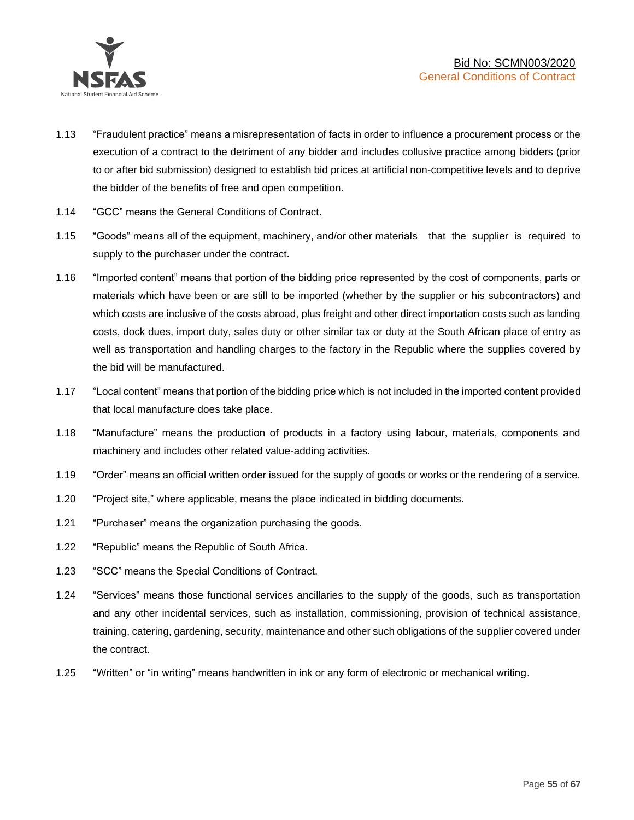

- 1.13 "Fraudulent practice" means a misrepresentation of facts in order to influence a procurement process or the execution of a contract to the detriment of any bidder and includes collusive practice among bidders (prior to or after bid submission) designed to establish bid prices at artificial non-competitive levels and to deprive the bidder of the benefits of free and open competition.
- 1.14 "GCC" means the General Conditions of Contract.
- 1.15 "Goods" means all of the equipment, machinery, and/or other materials that the supplier is required to supply to the purchaser under the contract.
- 1.16 "Imported content" means that portion of the bidding price represented by the cost of components, parts or materials which have been or are still to be imported (whether by the supplier or his subcontractors) and which costs are inclusive of the costs abroad, plus freight and other direct importation costs such as landing costs, dock dues, import duty, sales duty or other similar tax or duty at the South African place of entry as well as transportation and handling charges to the factory in the Republic where the supplies covered by the bid will be manufactured.
- 1.17 "Local content" means that portion of the bidding price which is not included in the imported content provided that local manufacture does take place.
- 1.18 "Manufacture" means the production of products in a factory using labour, materials, components and machinery and includes other related value-adding activities.
- 1.19 "Order" means an official written order issued for the supply of goods or works or the rendering of a service.
- 1.20 "Project site," where applicable, means the place indicated in bidding documents.
- 1.21 "Purchaser" means the organization purchasing the goods.
- 1.22 "Republic" means the Republic of South Africa.
- 1.23 "SCC" means the Special Conditions of Contract.
- 1.24 "Services" means those functional services ancillaries to the supply of the goods, such as transportation and any other incidental services, such as installation, commissioning, provision of technical assistance, training, catering, gardening, security, maintenance and other such obligations of the supplier covered under the contract.
- 1.25 "Written" or "in writing" means handwritten in ink or any form of electronic or mechanical writing.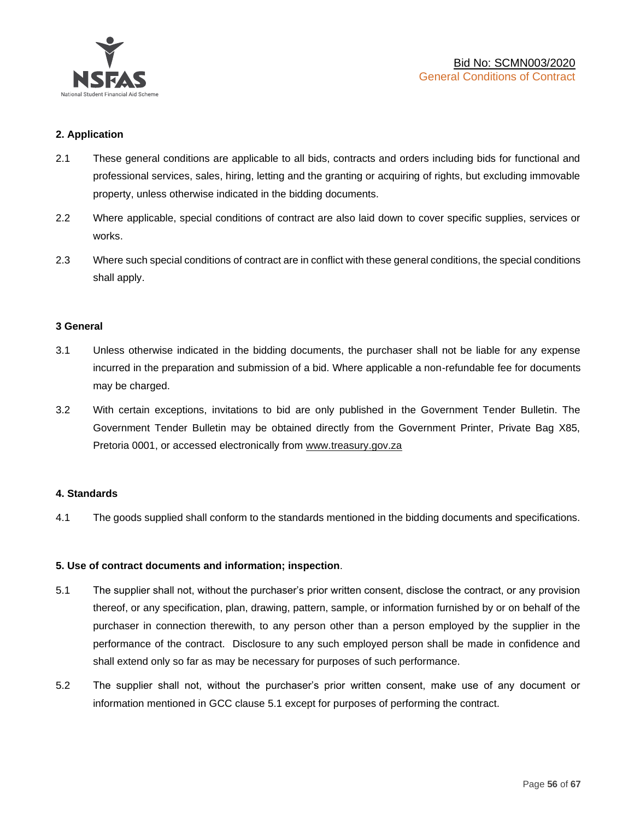

## **2. Application**

- 2.1 These general conditions are applicable to all bids, contracts and orders including bids for functional and professional services, sales, hiring, letting and the granting or acquiring of rights, but excluding immovable property, unless otherwise indicated in the bidding documents.
- 2.2 Where applicable, special conditions of contract are also laid down to cover specific supplies, services or works.
- 2.3 Where such special conditions of contract are in conflict with these general conditions, the special conditions shall apply.

### **3 General**

- 3.1 Unless otherwise indicated in the bidding documents, the purchaser shall not be liable for any expense incurred in the preparation and submission of a bid. Where applicable a non-refundable fee for documents may be charged.
- 3.2 With certain exceptions, invitations to bid are only published in the Government Tender Bulletin. The Government Tender Bulletin may be obtained directly from the Government Printer, Private Bag X85, Pretoria 0001, or accessed electronically from [www.treasury.gov.za](http://www.treasury.gov.za/)

### **4. Standards**

4.1 The goods supplied shall conform to the standards mentioned in the bidding documents and specifications.

### **5. Use of contract documents and information; inspection**.

- 5.1 The supplier shall not, without the purchaser's prior written consent, disclose the contract, or any provision thereof, or any specification, plan, drawing, pattern, sample, or information furnished by or on behalf of the purchaser in connection therewith, to any person other than a person employed by the supplier in the performance of the contract. Disclosure to any such employed person shall be made in confidence and shall extend only so far as may be necessary for purposes of such performance.
- 5.2 The supplier shall not, without the purchaser's prior written consent, make use of any document or information mentioned in GCC clause 5.1 except for purposes of performing the contract.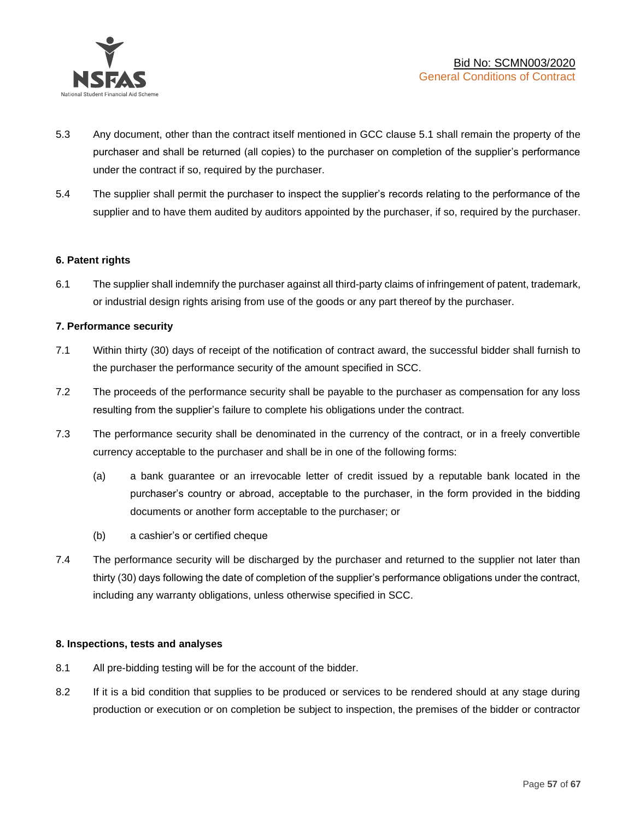

- 5.3 Any document, other than the contract itself mentioned in GCC clause 5.1 shall remain the property of the purchaser and shall be returned (all copies) to the purchaser on completion of the supplier's performance under the contract if so, required by the purchaser.
- 5.4 The supplier shall permit the purchaser to inspect the supplier's records relating to the performance of the supplier and to have them audited by auditors appointed by the purchaser, if so, required by the purchaser.

### **6. Patent rights**

6.1 The supplier shall indemnify the purchaser against all third-party claims of infringement of patent, trademark, or industrial design rights arising from use of the goods or any part thereof by the purchaser.

### **7. Performance security**

- 7.1 Within thirty (30) days of receipt of the notification of contract award, the successful bidder shall furnish to the purchaser the performance security of the amount specified in SCC.
- 7.2 The proceeds of the performance security shall be payable to the purchaser as compensation for any loss resulting from the supplier's failure to complete his obligations under the contract.
- 7.3 The performance security shall be denominated in the currency of the contract, or in a freely convertible currency acceptable to the purchaser and shall be in one of the following forms:
	- (a) a bank guarantee or an irrevocable letter of credit issued by a reputable bank located in the purchaser's country or abroad, acceptable to the purchaser, in the form provided in the bidding documents or another form acceptable to the purchaser; or
	- (b) a cashier's or certified cheque
- 7.4 The performance security will be discharged by the purchaser and returned to the supplier not later than thirty (30) days following the date of completion of the supplier's performance obligations under the contract, including any warranty obligations, unless otherwise specified in SCC.

### **8. Inspections, tests and analyses**

- 8.1 All pre-bidding testing will be for the account of the bidder.
- 8.2 If it is a bid condition that supplies to be produced or services to be rendered should at any stage during production or execution or on completion be subject to inspection, the premises of the bidder or contractor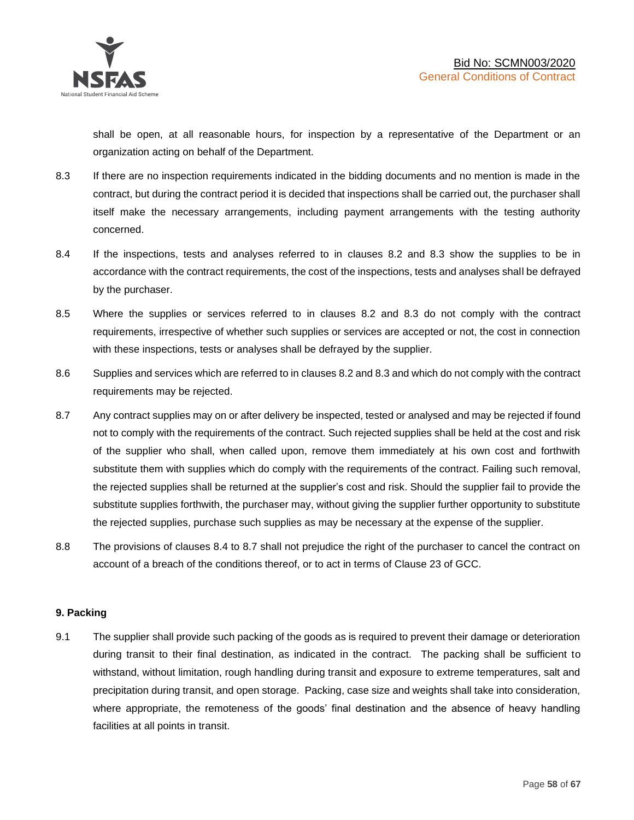shall be open, at all reasonable hours, for inspection by a representative of the Department or an organization acting on behalf of the Department.

- 8.3 If there are no inspection requirements indicated in the bidding documents and no mention is made in the contract, but during the contract period it is decided that inspections shall be carried out, the purchaser shall itself make the necessary arrangements, including payment arrangements with the testing authority concerned.
- 8.4 If the inspections, tests and analyses referred to in clauses 8.2 and 8.3 show the supplies to be in accordance with the contract requirements, the cost of the inspections, tests and analyses shall be defrayed by the purchaser.
- 8.5 Where the supplies or services referred to in clauses 8.2 and 8.3 do not comply with the contract requirements, irrespective of whether such supplies or services are accepted or not, the cost in connection with these inspections, tests or analyses shall be defrayed by the supplier.
- 8.6 Supplies and services which are referred to in clauses 8.2 and 8.3 and which do not comply with the contract requirements may be rejected.
- 8.7 Any contract supplies may on or after delivery be inspected, tested or analysed and may be rejected if found not to comply with the requirements of the contract. Such rejected supplies shall be held at the cost and risk of the supplier who shall, when called upon, remove them immediately at his own cost and forthwith substitute them with supplies which do comply with the requirements of the contract. Failing such removal, the rejected supplies shall be returned at the supplier's cost and risk. Should the supplier fail to provide the substitute supplies forthwith, the purchaser may, without giving the supplier further opportunity to substitute the rejected supplies, purchase such supplies as may be necessary at the expense of the supplier.
- 8.8 The provisions of clauses 8.4 to 8.7 shall not prejudice the right of the purchaser to cancel the contract on account of a breach of the conditions thereof, or to act in terms of Clause 23 of GCC.

# **9. Packing**

9.1 The supplier shall provide such packing of the goods as is required to prevent their damage or deterioration during transit to their final destination, as indicated in the contract. The packing shall be sufficient to withstand, without limitation, rough handling during transit and exposure to extreme temperatures, salt and precipitation during transit, and open storage. Packing, case size and weights shall take into consideration, where appropriate, the remoteness of the goods' final destination and the absence of heavy handling facilities at all points in transit.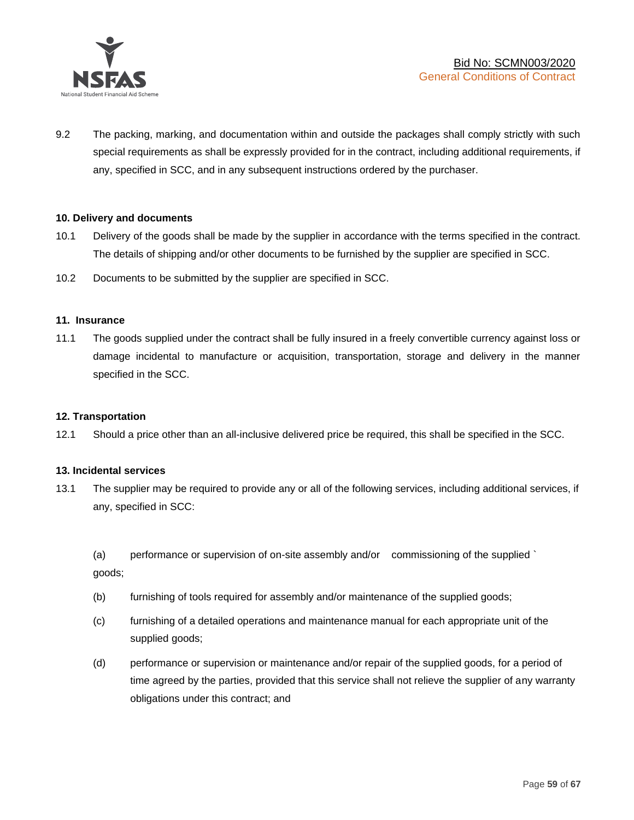

9.2 The packing, marking, and documentation within and outside the packages shall comply strictly with such special requirements as shall be expressly provided for in the contract, including additional requirements, if any, specified in SCC, and in any subsequent instructions ordered by the purchaser.

### **10. Delivery and documents**

- 10.1 Delivery of the goods shall be made by the supplier in accordance with the terms specified in the contract. The details of shipping and/or other documents to be furnished by the supplier are specified in SCC.
- 10.2 Documents to be submitted by the supplier are specified in SCC.

### **11. Insurance**

11.1 The goods supplied under the contract shall be fully insured in a freely convertible currency against loss or damage incidental to manufacture or acquisition, transportation, storage and delivery in the manner specified in the SCC.

### **12. Transportation**

12.1 Should a price other than an all-inclusive delivered price be required, this shall be specified in the SCC.

### **13. Incidental services**

13.1 The supplier may be required to provide any or all of the following services, including additional services, if any, specified in SCC:

(a) performance or supervision of on-site assembly and/or commissioning of the supplied ` goods;

- (b) furnishing of tools required for assembly and/or maintenance of the supplied goods;
- (c) furnishing of a detailed operations and maintenance manual for each appropriate unit of the supplied goods;
- (d) performance or supervision or maintenance and/or repair of the supplied goods, for a period of time agreed by the parties, provided that this service shall not relieve the supplier of any warranty obligations under this contract; and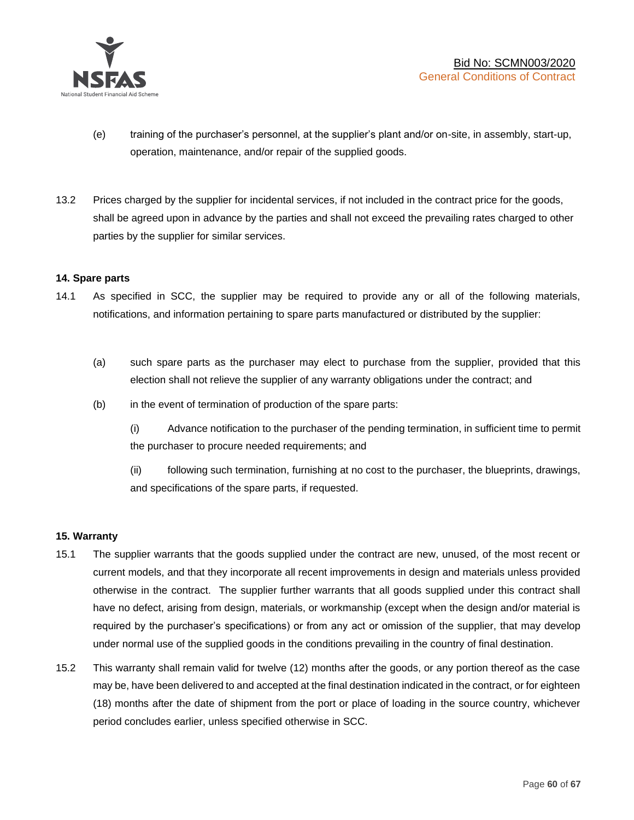

- (e) training of the purchaser's personnel, at the supplier's plant and/or on-site, in assembly, start-up, operation, maintenance, and/or repair of the supplied goods.
- 13.2 Prices charged by the supplier for incidental services, if not included in the contract price for the goods, shall be agreed upon in advance by the parties and shall not exceed the prevailing rates charged to other parties by the supplier for similar services.

### **14. Spare parts**

- 14.1 As specified in SCC, the supplier may be required to provide any or all of the following materials, notifications, and information pertaining to spare parts manufactured or distributed by the supplier:
	- (a) such spare parts as the purchaser may elect to purchase from the supplier, provided that this election shall not relieve the supplier of any warranty obligations under the contract; and
	- (b) in the event of termination of production of the spare parts:

(i) Advance notification to the purchaser of the pending termination, in sufficient time to permit the purchaser to procure needed requirements; and

(ii) following such termination, furnishing at no cost to the purchaser, the blueprints, drawings, and specifications of the spare parts, if requested.

### **15. Warranty**

- 15.1 The supplier warrants that the goods supplied under the contract are new, unused, of the most recent or current models, and that they incorporate all recent improvements in design and materials unless provided otherwise in the contract. The supplier further warrants that all goods supplied under this contract shall have no defect, arising from design, materials, or workmanship (except when the design and/or material is required by the purchaser's specifications) or from any act or omission of the supplier, that may develop under normal use of the supplied goods in the conditions prevailing in the country of final destination.
- 15.2 This warranty shall remain valid for twelve (12) months after the goods, or any portion thereof as the case may be, have been delivered to and accepted at the final destination indicated in the contract, or for eighteen (18) months after the date of shipment from the port or place of loading in the source country, whichever period concludes earlier, unless specified otherwise in SCC.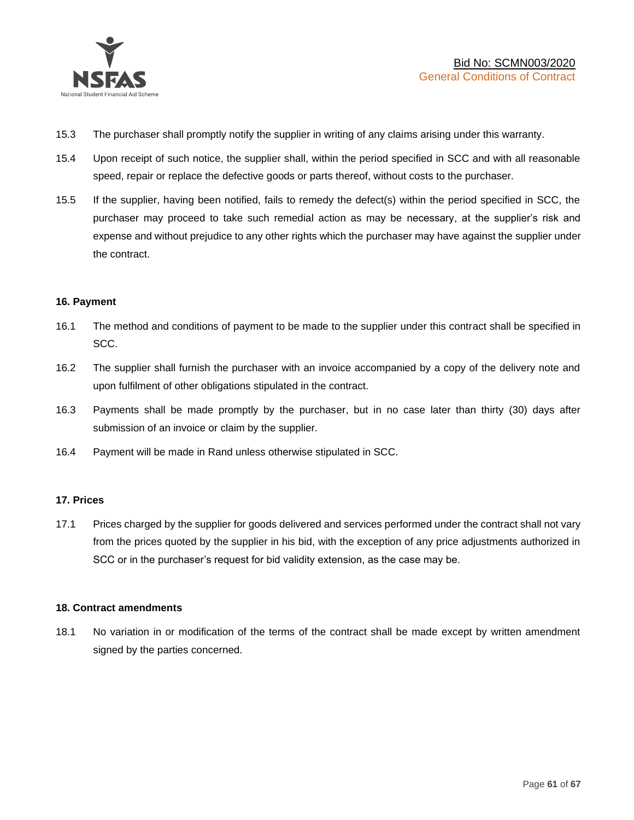

- 15.3 The purchaser shall promptly notify the supplier in writing of any claims arising under this warranty.
- 15.4 Upon receipt of such notice, the supplier shall, within the period specified in SCC and with all reasonable speed, repair or replace the defective goods or parts thereof, without costs to the purchaser.
- 15.5 If the supplier, having been notified, fails to remedy the defect(s) within the period specified in SCC, the purchaser may proceed to take such remedial action as may be necessary, at the supplier's risk and expense and without prejudice to any other rights which the purchaser may have against the supplier under the contract.

### **16. Payment**

- 16.1 The method and conditions of payment to be made to the supplier under this contract shall be specified in SCC.
- 16.2 The supplier shall furnish the purchaser with an invoice accompanied by a copy of the delivery note and upon fulfilment of other obligations stipulated in the contract.
- 16.3 Payments shall be made promptly by the purchaser, but in no case later than thirty (30) days after submission of an invoice or claim by the supplier.
- 16.4 Payment will be made in Rand unless otherwise stipulated in SCC.

### **17. Prices**

17.1 Prices charged by the supplier for goods delivered and services performed under the contract shall not vary from the prices quoted by the supplier in his bid, with the exception of any price adjustments authorized in SCC or in the purchaser's request for bid validity extension, as the case may be.

### **18. Contract amendments**

18.1 No variation in or modification of the terms of the contract shall be made except by written amendment signed by the parties concerned.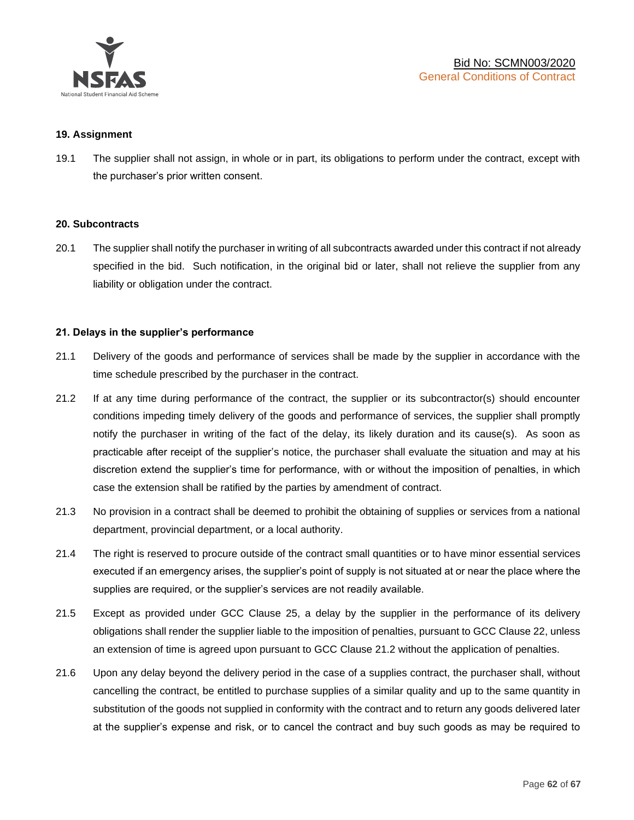

### **19. Assignment**

19.1 The supplier shall not assign, in whole or in part, its obligations to perform under the contract, except with the purchaser's prior written consent.

#### **20. Subcontracts**

20.1 The supplier shall notify the purchaser in writing of all subcontracts awarded under this contract if not already specified in the bid. Such notification, in the original bid or later, shall not relieve the supplier from any liability or obligation under the contract.

### **21. Delays in the supplier's performance**

- 21.1 Delivery of the goods and performance of services shall be made by the supplier in accordance with the time schedule prescribed by the purchaser in the contract.
- 21.2 If at any time during performance of the contract, the supplier or its subcontractor(s) should encounter conditions impeding timely delivery of the goods and performance of services, the supplier shall promptly notify the purchaser in writing of the fact of the delay, its likely duration and its cause(s). As soon as practicable after receipt of the supplier's notice, the purchaser shall evaluate the situation and may at his discretion extend the supplier's time for performance, with or without the imposition of penalties, in which case the extension shall be ratified by the parties by amendment of contract.
- 21.3 No provision in a contract shall be deemed to prohibit the obtaining of supplies or services from a national department, provincial department, or a local authority.
- 21.4 The right is reserved to procure outside of the contract small quantities or to have minor essential services executed if an emergency arises, the supplier's point of supply is not situated at or near the place where the supplies are required, or the supplier's services are not readily available.
- 21.5 Except as provided under GCC Clause 25, a delay by the supplier in the performance of its delivery obligations shall render the supplier liable to the imposition of penalties, pursuant to GCC Clause 22, unless an extension of time is agreed upon pursuant to GCC Clause 21.2 without the application of penalties.
- 21.6 Upon any delay beyond the delivery period in the case of a supplies contract, the purchaser shall, without cancelling the contract, be entitled to purchase supplies of a similar quality and up to the same quantity in substitution of the goods not supplied in conformity with the contract and to return any goods delivered later at the supplier's expense and risk, or to cancel the contract and buy such goods as may be required to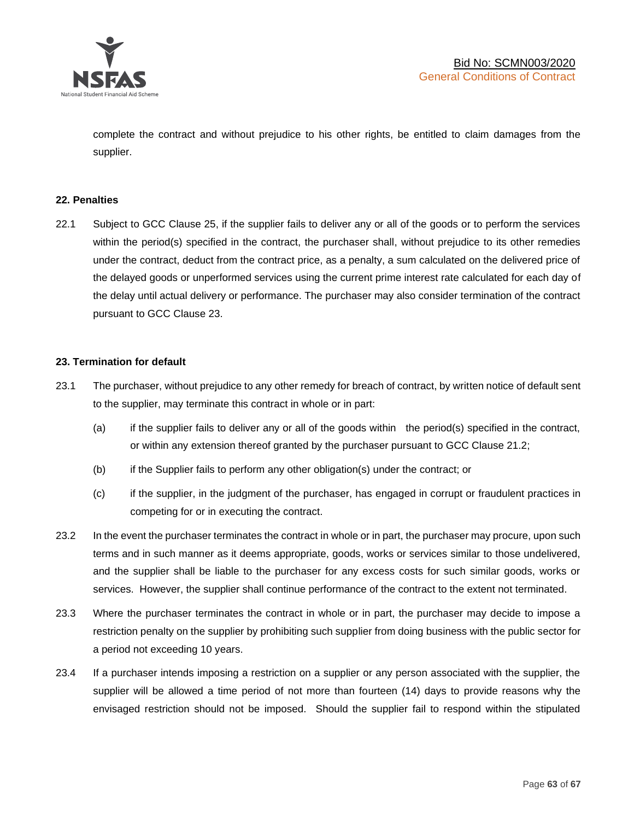

complete the contract and without prejudice to his other rights, be entitled to claim damages from the supplier.

### **22. Penalties**

22.1 Subject to GCC Clause 25, if the supplier fails to deliver any or all of the goods or to perform the services within the period(s) specified in the contract, the purchaser shall, without prejudice to its other remedies under the contract, deduct from the contract price, as a penalty, a sum calculated on the delivered price of the delayed goods or unperformed services using the current prime interest rate calculated for each day of the delay until actual delivery or performance. The purchaser may also consider termination of the contract pursuant to GCC Clause 23.

### **23. Termination for default**

- 23.1 The purchaser, without prejudice to any other remedy for breach of contract, by written notice of default sent to the supplier, may terminate this contract in whole or in part:
	- (a) if the supplier fails to deliver any or all of the goods within the period(s) specified in the contract, or within any extension thereof granted by the purchaser pursuant to GCC Clause 21.2;
	- (b) if the Supplier fails to perform any other obligation(s) under the contract; or
	- (c) if the supplier, in the judgment of the purchaser, has engaged in corrupt or fraudulent practices in competing for or in executing the contract.
- 23.2 In the event the purchaser terminates the contract in whole or in part, the purchaser may procure, upon such terms and in such manner as it deems appropriate, goods, works or services similar to those undelivered, and the supplier shall be liable to the purchaser for any excess costs for such similar goods, works or services. However, the supplier shall continue performance of the contract to the extent not terminated.
- 23.3 Where the purchaser terminates the contract in whole or in part, the purchaser may decide to impose a restriction penalty on the supplier by prohibiting such supplier from doing business with the public sector for a period not exceeding 10 years.
- 23.4 If a purchaser intends imposing a restriction on a supplier or any person associated with the supplier, the supplier will be allowed a time period of not more than fourteen (14) days to provide reasons why the envisaged restriction should not be imposed. Should the supplier fail to respond within the stipulated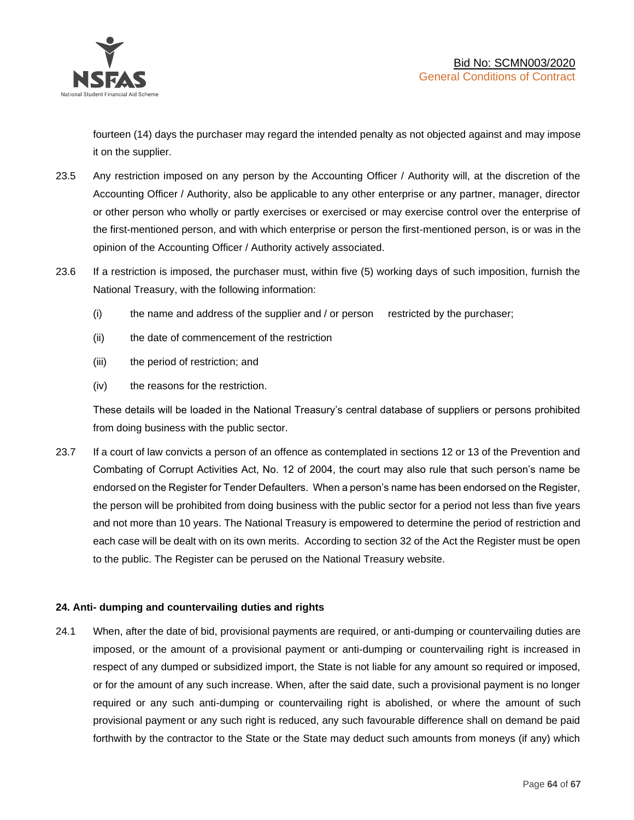

fourteen (14) days the purchaser may regard the intended penalty as not objected against and may impose it on the supplier.

- 23.5 Any restriction imposed on any person by the Accounting Officer / Authority will, at the discretion of the Accounting Officer / Authority, also be applicable to any other enterprise or any partner, manager, director or other person who wholly or partly exercises or exercised or may exercise control over the enterprise of the first-mentioned person, and with which enterprise or person the first-mentioned person, is or was in the opinion of the Accounting Officer / Authority actively associated.
- 23.6 If a restriction is imposed, the purchaser must, within five (5) working days of such imposition, furnish the National Treasury, with the following information:
	- (i) the name and address of the supplier and / or person restricted by the purchaser;
	- (ii) the date of commencement of the restriction
	- (iii) the period of restriction; and
	- (iv) the reasons for the restriction.

These details will be loaded in the National Treasury's central database of suppliers or persons prohibited from doing business with the public sector.

23.7 If a court of law convicts a person of an offence as contemplated in sections 12 or 13 of the Prevention and Combating of Corrupt Activities Act, No. 12 of 2004, the court may also rule that such person's name be endorsed on the Register for Tender Defaulters. When a person's name has been endorsed on the Register, the person will be prohibited from doing business with the public sector for a period not less than five years and not more than 10 years. The National Treasury is empowered to determine the period of restriction and each case will be dealt with on its own merits. According to section 32 of the Act the Register must be open to the public. The Register can be perused on the National Treasury website.

# **24. Anti- dumping and countervailing duties and rights**

24.1 When, after the date of bid, provisional payments are required, or anti-dumping or countervailing duties are imposed, or the amount of a provisional payment or anti-dumping or countervailing right is increased in respect of any dumped or subsidized import, the State is not liable for any amount so required or imposed, or for the amount of any such increase. When, after the said date, such a provisional payment is no longer required or any such anti-dumping or countervailing right is abolished, or where the amount of such provisional payment or any such right is reduced, any such favourable difference shall on demand be paid forthwith by the contractor to the State or the State may deduct such amounts from moneys (if any) which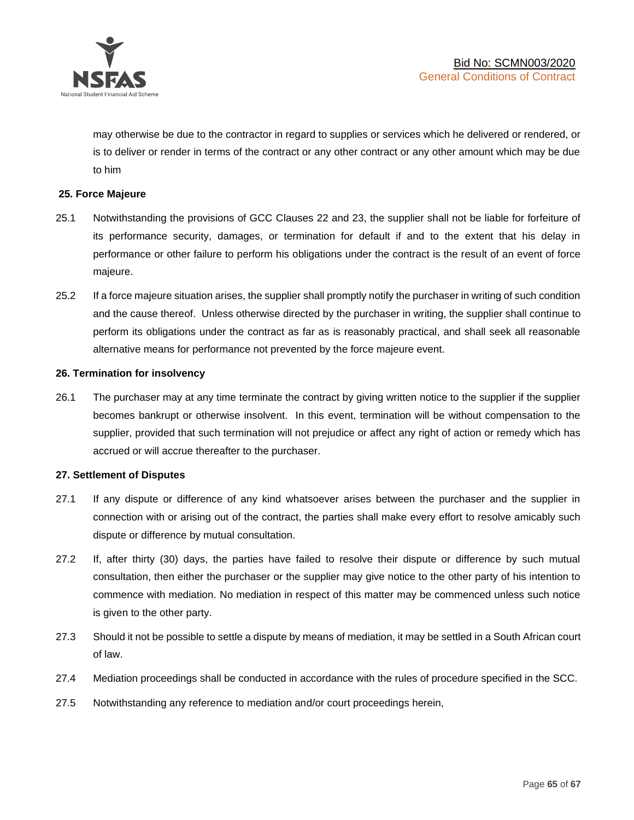

may otherwise be due to the contractor in regard to supplies or services which he delivered or rendered, or is to deliver or render in terms of the contract or any other contract or any other amount which may be due to him

### **25. Force Majeure**

- 25.1 Notwithstanding the provisions of GCC Clauses 22 and 23, the supplier shall not be liable for forfeiture of its performance security, damages, or termination for default if and to the extent that his delay in performance or other failure to perform his obligations under the contract is the result of an event of force majeure.
- 25.2 If a force majeure situation arises, the supplier shall promptly notify the purchaser in writing of such condition and the cause thereof. Unless otherwise directed by the purchaser in writing, the supplier shall continue to perform its obligations under the contract as far as is reasonably practical, and shall seek all reasonable alternative means for performance not prevented by the force majeure event.

#### **26. Termination for insolvency**

26.1 The purchaser may at any time terminate the contract by giving written notice to the supplier if the supplier becomes bankrupt or otherwise insolvent. In this event, termination will be without compensation to the supplier, provided that such termination will not prejudice or affect any right of action or remedy which has accrued or will accrue thereafter to the purchaser.

#### **27. Settlement of Disputes**

- 27.1 If any dispute or difference of any kind whatsoever arises between the purchaser and the supplier in connection with or arising out of the contract, the parties shall make every effort to resolve amicably such dispute or difference by mutual consultation.
- 27.2 If, after thirty (30) days, the parties have failed to resolve their dispute or difference by such mutual consultation, then either the purchaser or the supplier may give notice to the other party of his intention to commence with mediation. No mediation in respect of this matter may be commenced unless such notice is given to the other party.
- 27.3 Should it not be possible to settle a dispute by means of mediation, it may be settled in a South African court of law.
- 27.4 Mediation proceedings shall be conducted in accordance with the rules of procedure specified in the SCC.
- 27.5 Notwithstanding any reference to mediation and/or court proceedings herein,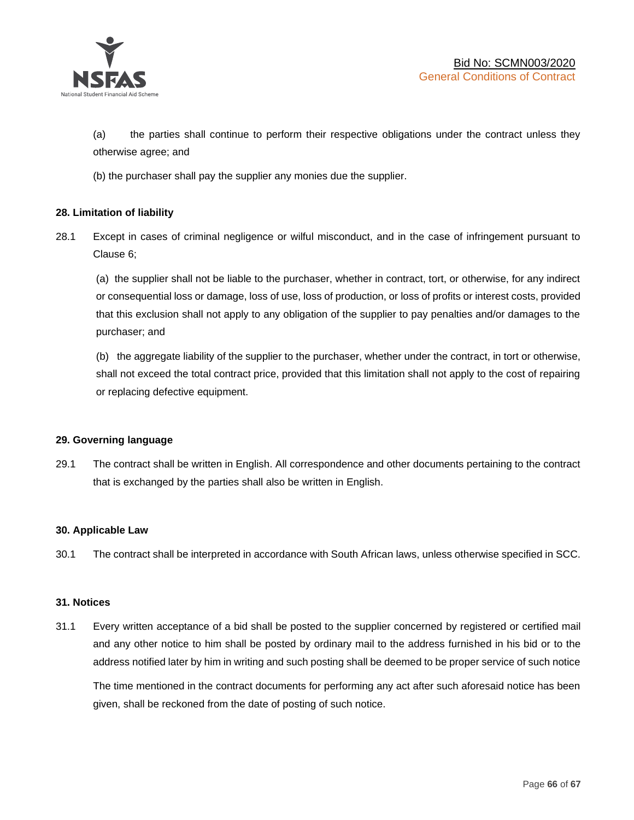

(a) the parties shall continue to perform their respective obligations under the contract unless they otherwise agree; and

(b) the purchaser shall pay the supplier any monies due the supplier.

### **28. Limitation of liability**

28.1 Except in cases of criminal negligence or wilful misconduct, and in the case of infringement pursuant to Clause 6;

(a) the supplier shall not be liable to the purchaser, whether in contract, tort, or otherwise, for any indirect or consequential loss or damage, loss of use, loss of production, or loss of profits or interest costs, provided that this exclusion shall not apply to any obligation of the supplier to pay penalties and/or damages to the purchaser; and

(b) the aggregate liability of the supplier to the purchaser, whether under the contract, in tort or otherwise, shall not exceed the total contract price, provided that this limitation shall not apply to the cost of repairing or replacing defective equipment.

### **29. Governing language**

29.1 The contract shall be written in English. All correspondence and other documents pertaining to the contract that is exchanged by the parties shall also be written in English.

### **30. Applicable Law**

30.1 The contract shall be interpreted in accordance with South African laws, unless otherwise specified in SCC.

### **31. Notices**

31.1 Every written acceptance of a bid shall be posted to the supplier concerned by registered or certified mail and any other notice to him shall be posted by ordinary mail to the address furnished in his bid or to the address notified later by him in writing and such posting shall be deemed to be proper service of such notice

The time mentioned in the contract documents for performing any act after such aforesaid notice has been given, shall be reckoned from the date of posting of such notice.